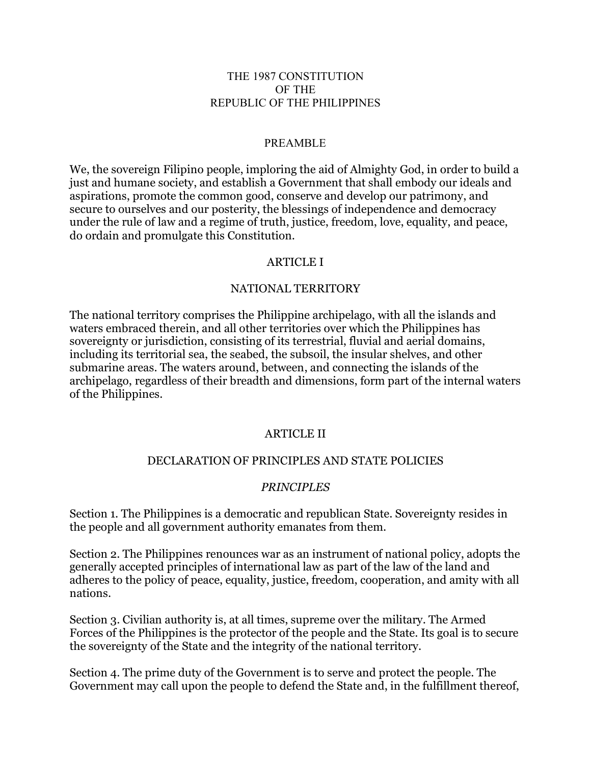#### THE 1987 CONSTITUTION OF THE REPUBLIC OF THE PHILIPPINES

#### PREAMBLE

We, the sovereign Filipino people, imploring the aid of Almighty God, in order to build a just and humane society, and establish a Government that shall embody our ideals and aspirations, promote the common good, conserve and develop our patrimony, and secure to ourselves and our posterity, the blessings of independence and democracy under the rule of law and a regime of truth, justice, freedom, love, equality, and peace, do ordain and promulgate this Constitution.

#### ARTICLE I

#### NATIONAL TERRITORY

The national territory comprises the Philippine archipelago, with all the islands and waters embraced therein, and all other territories over which the Philippines has sovereignty or jurisdiction, consisting of its terrestrial, fluvial and aerial domains, including its territorial sea, the seabed, the subsoil, the insular shelves, and other submarine areas. The waters around, between, and connecting the islands of the archipelago, regardless of their breadth and dimensions, form part of the internal waters of the Philippines.

#### ARTICLE II

#### DECLARATION OF PRINCIPLES AND STATE POLICIES

### *PRINCIPLES*

Section 1. The Philippines is a democratic and republican State. Sovereignty resides in the people and all government authority emanates from them.

Section 2. The Philippines renounces war as an instrument of national policy, adopts the generally accepted principles of international law as part of the law of the land and adheres to the policy of peace, equality, justice, freedom, cooperation, and amity with all nations.

Section 3. Civilian authority is, at all times, supreme over the military. The Armed Forces of the Philippines is the protector of the people and the State. Its goal is to secure the sovereignty of the State and the integrity of the national territory.

Section 4. The prime duty of the Government is to serve and protect the people. The Government may call upon the people to defend the State and, in the fulfillment thereof,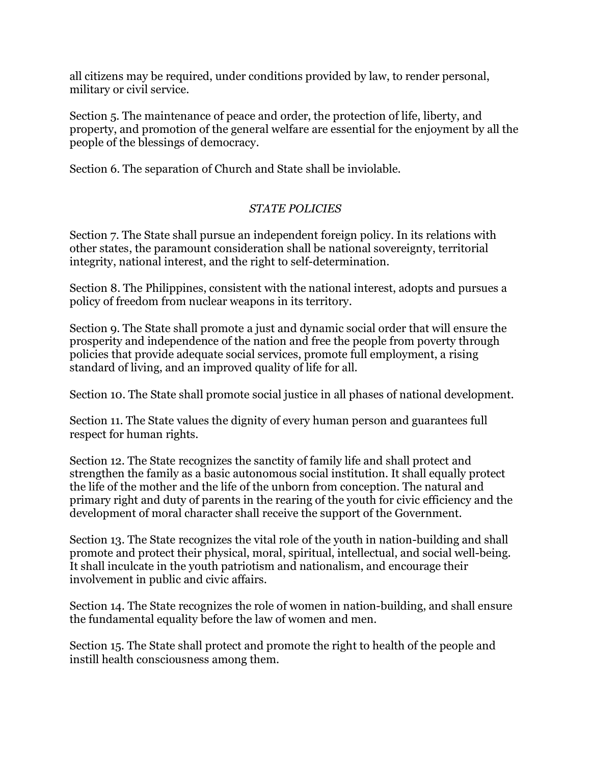all citizens may be required, under conditions provided by law, to render personal, military or civil service.

Section 5. The maintenance of peace and order, the protection of life, liberty, and property, and promotion of the general welfare are essential for the enjoyment by all the people of the blessings of democracy.

Section 6. The separation of Church and State shall be inviolable.

# *STATE POLICIES*

Section 7. The State shall pursue an independent foreign policy. In its relations with other states, the paramount consideration shall be national sovereignty, territorial integrity, national interest, and the right to self-determination.

Section 8. The Philippines, consistent with the national interest, adopts and pursues a policy of freedom from nuclear weapons in its territory.

Section 9. The State shall promote a just and dynamic social order that will ensure the prosperity and independence of the nation and free the people from poverty through policies that provide adequate social services, promote full employment, a rising standard of living, and an improved quality of life for all.

Section 10. The State shall promote social justice in all phases of national development.

Section 11. The State values the dignity of every human person and guarantees full respect for human rights.

Section 12. The State recognizes the sanctity of family life and shall protect and strengthen the family as a basic autonomous social institution. It shall equally protect the life of the mother and the life of the unborn from conception. The natural and primary right and duty of parents in the rearing of the youth for civic efficiency and the development of moral character shall receive the support of the Government.

Section 13. The State recognizes the vital role of the youth in nation-building and shall promote and protect their physical, moral, spiritual, intellectual, and social well-being. It shall inculcate in the youth patriotism and nationalism, and encourage their involvement in public and civic affairs.

Section 14. The State recognizes the role of women in nation-building, and shall ensure the fundamental equality before the law of women and men.

Section 15. The State shall protect and promote the right to health of the people and instill health consciousness among them.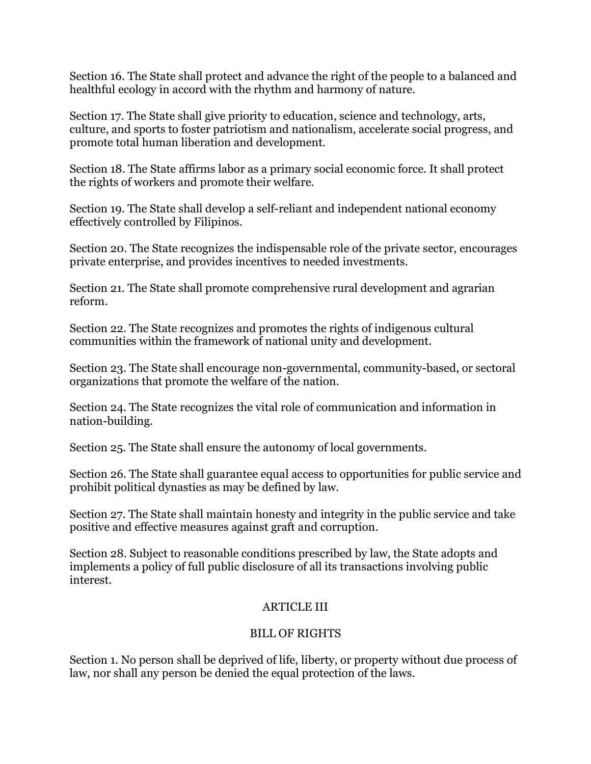Section 16. The State shall protect and advance the right of the people to a balanced and healthful ecology in accord with the rhythm and harmony of nature.

Section 17. The State shall give priority to education, science and technology, arts, culture, and sports to foster patriotism and nationalism, accelerate social progress, and promote total human liberation and development.

Section 18. The State affirms labor as a primary social economic force. It shall protect the rights of workers and promote their welfare.

Section 19. The State shall develop a self-reliant and independent national economy effectively controlled by Filipinos.

Section 20. The State recognizes the indispensable role of the private sector, encourages private enterprise, and provides incentives to needed investments.

Section 21. The State shall promote comprehensive rural development and agrarian reform.

Section 22. The State recognizes and promotes the rights of indigenous cultural communities within the framework of national unity and development.

Section 23. The State shall encourage non-governmental, community-based, or sectoral organizations that promote the welfare of the nation.

Section 24. The State recognizes the vital role of communication and information in nation-building.

Section 25. The State shall ensure the autonomy of local governments.

Section 26. The State shall guarantee equal access to opportunities for public service and prohibit political dynasties as may be defined by law.

Section 27. The State shall maintain honesty and integrity in the public service and take positive and effective measures against graft and corruption.

Section 28. Subject to reasonable conditions prescribed by law, the State adopts and implements a policy of full public disclosure of all its transactions involving public interest.

# ARTICLE III

# BILL OF RIGHTS

Section 1. No person shall be deprived of life, liberty, or property without due process of law, nor shall any person be denied the equal protection of the laws.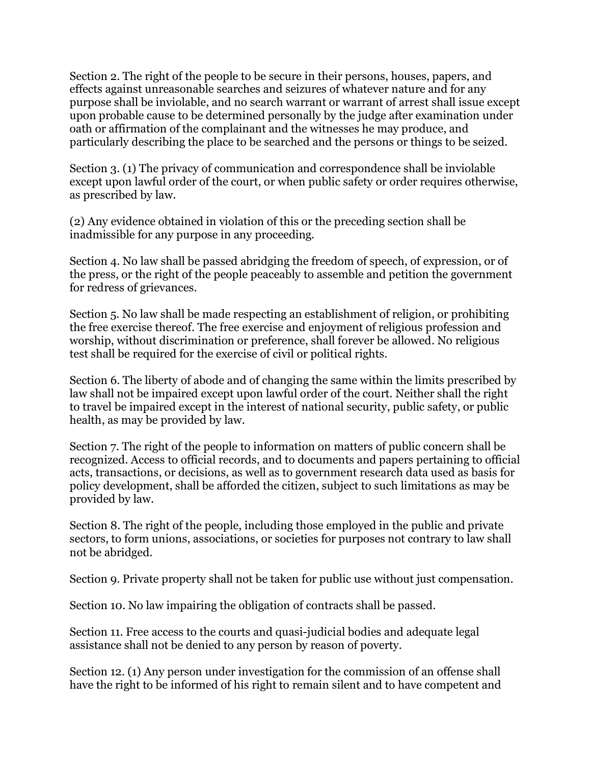Section 2. The right of the people to be secure in their persons, houses, papers, and effects against unreasonable searches and seizures of whatever nature and for any purpose shall be inviolable, and no search warrant or warrant of arrest shall issue except upon probable cause to be determined personally by the judge after examination under oath or affirmation of the complainant and the witnesses he may produce, and particularly describing the place to be searched and the persons or things to be seized.

Section 3. (1) The privacy of communication and correspondence shall be inviolable except upon lawful order of the court, or when public safety or order requires otherwise, as prescribed by law.

(2) Any evidence obtained in violation of this or the preceding section shall be inadmissible for any purpose in any proceeding.

Section 4. No law shall be passed abridging the freedom of speech, of expression, or of the press, or the right of the people peaceably to assemble and petition the government for redress of grievances.

Section 5. No law shall be made respecting an establishment of religion, or prohibiting the free exercise thereof. The free exercise and enjoyment of religious profession and worship, without discrimination or preference, shall forever be allowed. No religious test shall be required for the exercise of civil or political rights.

Section 6. The liberty of abode and of changing the same within the limits prescribed by law shall not be impaired except upon lawful order of the court. Neither shall the right to travel be impaired except in the interest of national security, public safety, or public health, as may be provided by law.

Section 7. The right of the people to information on matters of public concern shall be recognized. Access to official records, and to documents and papers pertaining to official acts, transactions, or decisions, as well as to government research data used as basis for policy development, shall be afforded the citizen, subject to such limitations as may be provided by law.

Section 8. The right of the people, including those employed in the public and private sectors, to form unions, associations, or societies for purposes not contrary to law shall not be abridged.

Section 9. Private property shall not be taken for public use without just compensation.

Section 10. No law impairing the obligation of contracts shall be passed.

Section 11. Free access to the courts and quasi-judicial bodies and adequate legal assistance shall not be denied to any person by reason of poverty.

Section 12. (1) Any person under investigation for the commission of an offense shall have the right to be informed of his right to remain silent and to have competent and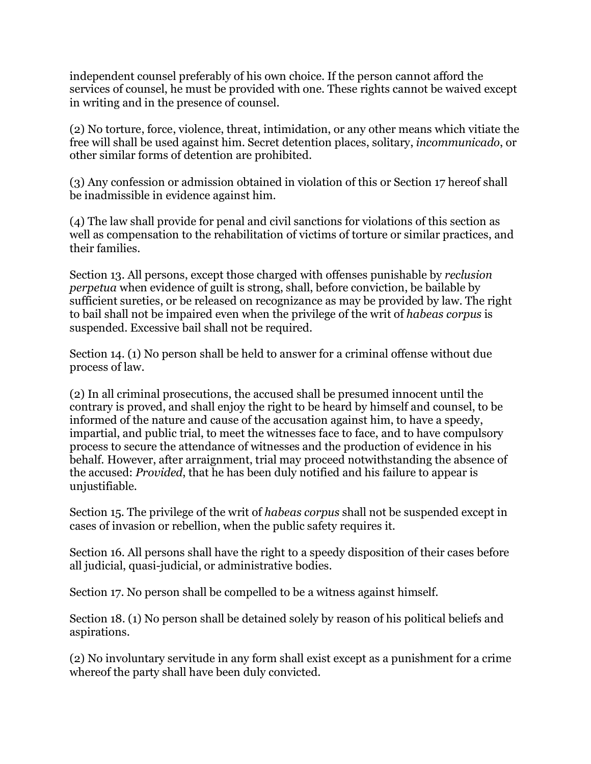independent counsel preferably of his own choice. If the person cannot afford the services of counsel, he must be provided with one. These rights cannot be waived except in writing and in the presence of counsel.

(2) No torture, force, violence, threat, intimidation, or any other means which vitiate the free will shall be used against him. Secret detention places, solitary, *incommunicado*, or other similar forms of detention are prohibited.

(3) Any confession or admission obtained in violation of this or Section 17 hereof shall be inadmissible in evidence against him.

(4) The law shall provide for penal and civil sanctions for violations of this section as well as compensation to the rehabilitation of victims of torture or similar practices, and their families.

Section 13. All persons, except those charged with offenses punishable by *reclusion perpetua* when evidence of guilt is strong, shall, before conviction, be bailable by sufficient sureties, or be released on recognizance as may be provided by law. The right to bail shall not be impaired even when the privilege of the writ of *habeas corpus* is suspended. Excessive bail shall not be required.

Section 14. (1) No person shall be held to answer for a criminal offense without due process of law.

(2) In all criminal prosecutions, the accused shall be presumed innocent until the contrary is proved, and shall enjoy the right to be heard by himself and counsel, to be informed of the nature and cause of the accusation against him, to have a speedy, impartial, and public trial, to meet the witnesses face to face, and to have compulsory process to secure the attendance of witnesses and the production of evidence in his behalf. However, after arraignment, trial may proceed notwithstanding the absence of the accused: *Provided*, that he has been duly notified and his failure to appear is unjustifiable.

Section 15. The privilege of the writ of *habeas corpus* shall not be suspended except in cases of invasion or rebellion, when the public safety requires it.

Section 16. All persons shall have the right to a speedy disposition of their cases before all judicial, quasi-judicial, or administrative bodies.

Section 17. No person shall be compelled to be a witness against himself.

Section 18. (1) No person shall be detained solely by reason of his political beliefs and aspirations.

(2) No involuntary servitude in any form shall exist except as a punishment for a crime whereof the party shall have been duly convicted.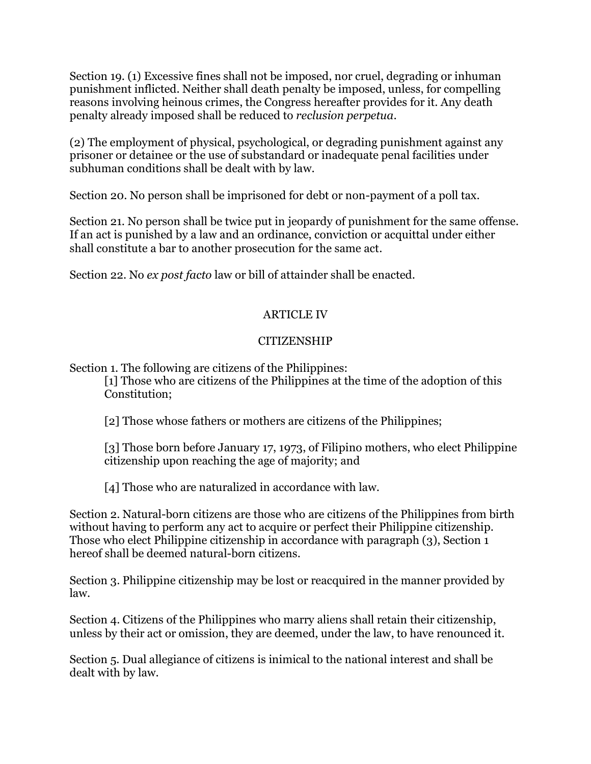Section 19. (1) Excessive fines shall not be imposed, nor cruel, degrading or inhuman punishment inflicted. Neither shall death penalty be imposed, unless, for compelling reasons involving heinous crimes, the Congress hereafter provides for it. Any death penalty already imposed shall be reduced to *reclusion perpetua*.

(2) The employment of physical, psychological, or degrading punishment against any prisoner or detainee or the use of substandard or inadequate penal facilities under subhuman conditions shall be dealt with by law.

Section 20. No person shall be imprisoned for debt or non-payment of a poll tax.

Section 21. No person shall be twice put in jeopardy of punishment for the same offense. If an act is punished by a law and an ordinance, conviction or acquittal under either shall constitute a bar to another prosecution for the same act.

Section 22. No *ex post facto* law or bill of attainder shall be enacted.

## ARTICLE IV

### **CITIZENSHIP**

Section 1. The following are citizens of the Philippines:

[1] Those who are citizens of the Philippines at the time of the adoption of this Constitution;

[2] Those whose fathers or mothers are citizens of the Philippines;

[3] Those born before January 17, 1973, of Filipino mothers, who elect Philippine citizenship upon reaching the age of majority; and

[4] Those who are naturalized in accordance with law.

Section 2. Natural-born citizens are those who are citizens of the Philippines from birth without having to perform any act to acquire or perfect their Philippine citizenship. Those who elect Philippine citizenship in accordance with paragraph (3), Section 1 hereof shall be deemed natural-born citizens.

Section 3. Philippine citizenship may be lost or reacquired in the manner provided by law.

Section 4. Citizens of the Philippines who marry aliens shall retain their citizenship, unless by their act or omission, they are deemed, under the law, to have renounced it.

Section 5. Dual allegiance of citizens is inimical to the national interest and shall be dealt with by law.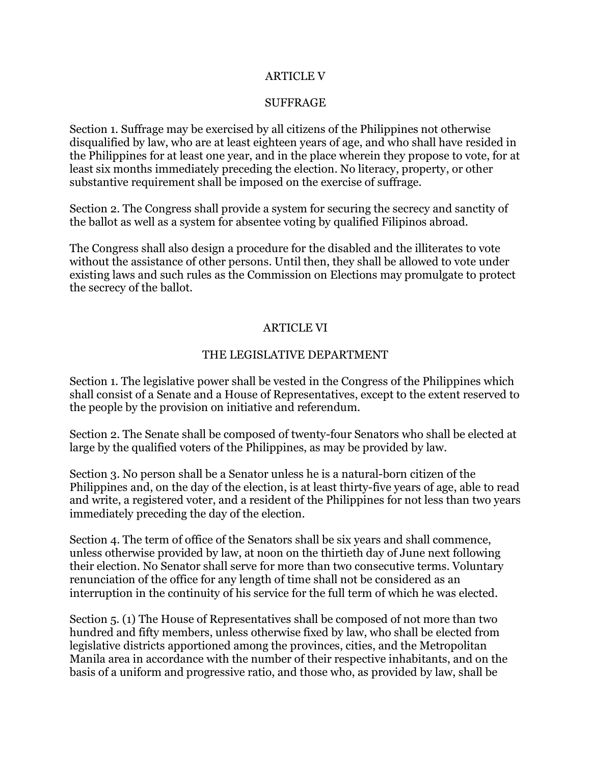#### ARTICLE V

#### SUFFRAGE

Section 1. Suffrage may be exercised by all citizens of the Philippines not otherwise disqualified by law, who are at least eighteen years of age, and who shall have resided in the Philippines for at least one year, and in the place wherein they propose to vote, for at least six months immediately preceding the election. No literacy, property, or other substantive requirement shall be imposed on the exercise of suffrage.

Section 2. The Congress shall provide a system for securing the secrecy and sanctity of the ballot as well as a system for absentee voting by qualified Filipinos abroad.

The Congress shall also design a procedure for the disabled and the illiterates to vote without the assistance of other persons. Until then, they shall be allowed to vote under existing laws and such rules as the Commission on Elections may promulgate to protect the secrecy of the ballot.

#### ARTICLE VI

#### THE LEGISLATIVE DEPARTMENT

Section 1. The legislative power shall be vested in the Congress of the Philippines which shall consist of a Senate and a House of Representatives, except to the extent reserved to the people by the provision on initiative and referendum.

Section 2. The Senate shall be composed of twenty-four Senators who shall be elected at large by the qualified voters of the Philippines, as may be provided by law.

Section 3. No person shall be a Senator unless he is a natural-born citizen of the Philippines and, on the day of the election, is at least thirty-five years of age, able to read and write, a registered voter, and a resident of the Philippines for not less than two years immediately preceding the day of the election.

Section 4. The term of office of the Senators shall be six years and shall commence, unless otherwise provided by law, at noon on the thirtieth day of June next following their election. No Senator shall serve for more than two consecutive terms. Voluntary renunciation of the office for any length of time shall not be considered as an interruption in the continuity of his service for the full term of which he was elected.

Section 5. (1) The House of Representatives shall be composed of not more than two hundred and fifty members, unless otherwise fixed by law, who shall be elected from legislative districts apportioned among the provinces, cities, and the Metropolitan Manila area in accordance with the number of their respective inhabitants, and on the basis of a uniform and progressive ratio, and those who, as provided by law, shall be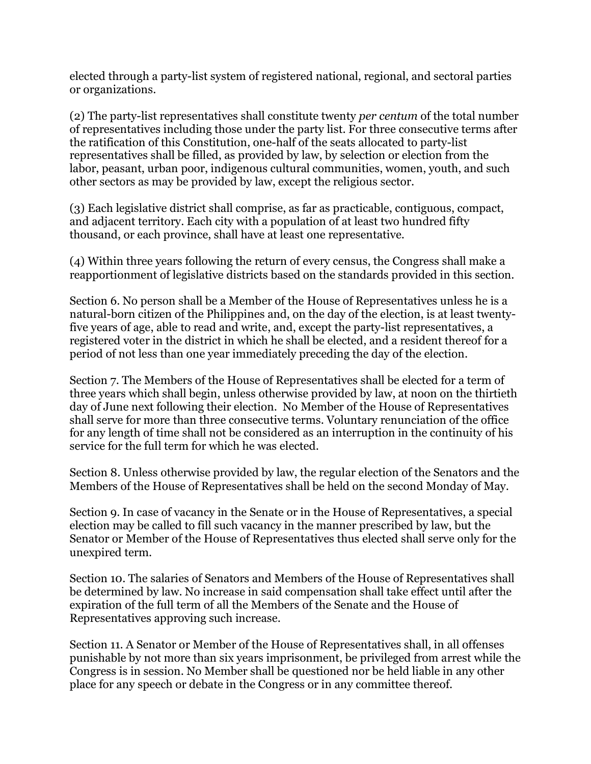elected through a party-list system of registered national, regional, and sectoral parties or organizations.

(2) The party-list representatives shall constitute twenty *per centum* of the total number of representatives including those under the party list. For three consecutive terms after the ratification of this Constitution, one-half of the seats allocated to party-list representatives shall be filled, as provided by law, by selection or election from the labor, peasant, urban poor, indigenous cultural communities, women, youth, and such other sectors as may be provided by law, except the religious sector.

(3) Each legislative district shall comprise, as far as practicable, contiguous, compact, and adjacent territory. Each city with a population of at least two hundred fifty thousand, or each province, shall have at least one representative.

(4) Within three years following the return of every census, the Congress shall make a reapportionment of legislative districts based on the standards provided in this section.

Section 6. No person shall be a Member of the House of Representatives unless he is a natural-born citizen of the Philippines and, on the day of the election, is at least twentyfive years of age, able to read and write, and, except the party-list representatives, a registered voter in the district in which he shall be elected, and a resident thereof for a period of not less than one year immediately preceding the day of the election.

Section 7. The Members of the House of Representatives shall be elected for a term of three years which shall begin, unless otherwise provided by law, at noon on the thirtieth day of June next following their election. No Member of the House of Representatives shall serve for more than three consecutive terms. Voluntary renunciation of the office for any length of time shall not be considered as an interruption in the continuity of his service for the full term for which he was elected.

Section 8. Unless otherwise provided by law, the regular election of the Senators and the Members of the House of Representatives shall be held on the second Monday of May.

Section 9. In case of vacancy in the Senate or in the House of Representatives, a special election may be called to fill such vacancy in the manner prescribed by law, but the Senator or Member of the House of Representatives thus elected shall serve only for the unexpired term.

Section 10. The salaries of Senators and Members of the House of Representatives shall be determined by law. No increase in said compensation shall take effect until after the expiration of the full term of all the Members of the Senate and the House of Representatives approving such increase.

Section 11. A Senator or Member of the House of Representatives shall, in all offenses punishable by not more than six years imprisonment, be privileged from arrest while the Congress is in session. No Member shall be questioned nor be held liable in any other place for any speech or debate in the Congress or in any committee thereof.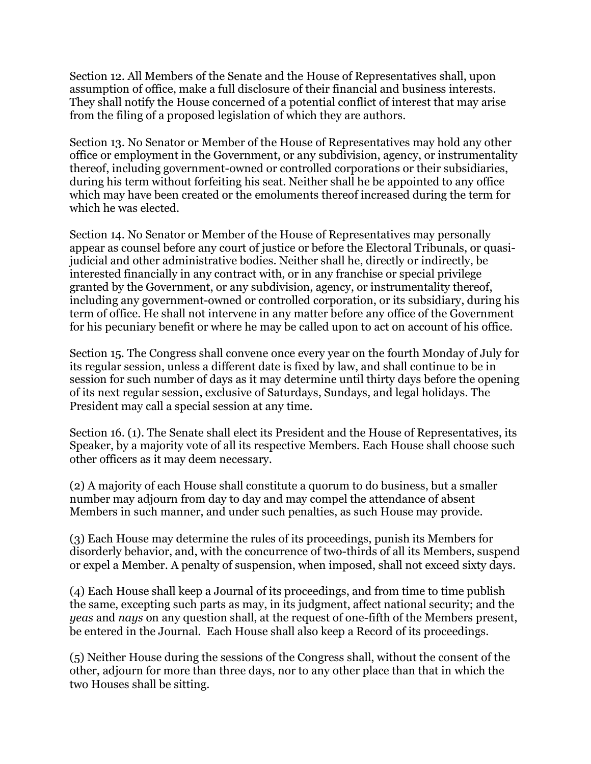Section 12. All Members of the Senate and the House of Representatives shall, upon assumption of office, make a full disclosure of their financial and business interests. They shall notify the House concerned of a potential conflict of interest that may arise from the filing of a proposed legislation of which they are authors.

Section 13. No Senator or Member of the House of Representatives may hold any other office or employment in the Government, or any subdivision, agency, or instrumentality thereof, including government-owned or controlled corporations or their subsidiaries, during his term without forfeiting his seat. Neither shall he be appointed to any office which may have been created or the emoluments thereof increased during the term for which he was elected.

Section 14. No Senator or Member of the House of Representatives may personally appear as counsel before any court of justice or before the Electoral Tribunals, or quasijudicial and other administrative bodies. Neither shall he, directly or indirectly, be interested financially in any contract with, or in any franchise or special privilege granted by the Government, or any subdivision, agency, or instrumentality thereof, including any government-owned or controlled corporation, or its subsidiary, during his term of office. He shall not intervene in any matter before any office of the Government for his pecuniary benefit or where he may be called upon to act on account of his office.

Section 15. The Congress shall convene once every year on the fourth Monday of July for its regular session, unless a different date is fixed by law, and shall continue to be in session for such number of days as it may determine until thirty days before the opening of its next regular session, exclusive of Saturdays, Sundays, and legal holidays. The President may call a special session at any time.

Section 16. (1). The Senate shall elect its President and the House of Representatives, its Speaker, by a majority vote of all its respective Members. Each House shall choose such other officers as it may deem necessary.

(2) A majority of each House shall constitute a quorum to do business, but a smaller number may adjourn from day to day and may compel the attendance of absent Members in such manner, and under such penalties, as such House may provide.

(3) Each House may determine the rules of its proceedings, punish its Members for disorderly behavior, and, with the concurrence of two-thirds of all its Members, suspend or expel a Member. A penalty of suspension, when imposed, shall not exceed sixty days.

(4) Each House shall keep a Journal of its proceedings, and from time to time publish the same, excepting such parts as may, in its judgment, affect national security; and the *yeas* and *nays* on any question shall, at the request of one-fifth of the Members present, be entered in the Journal. Each House shall also keep a Record of its proceedings.

(5) Neither House during the sessions of the Congress shall, without the consent of the other, adjourn for more than three days, nor to any other place than that in which the two Houses shall be sitting.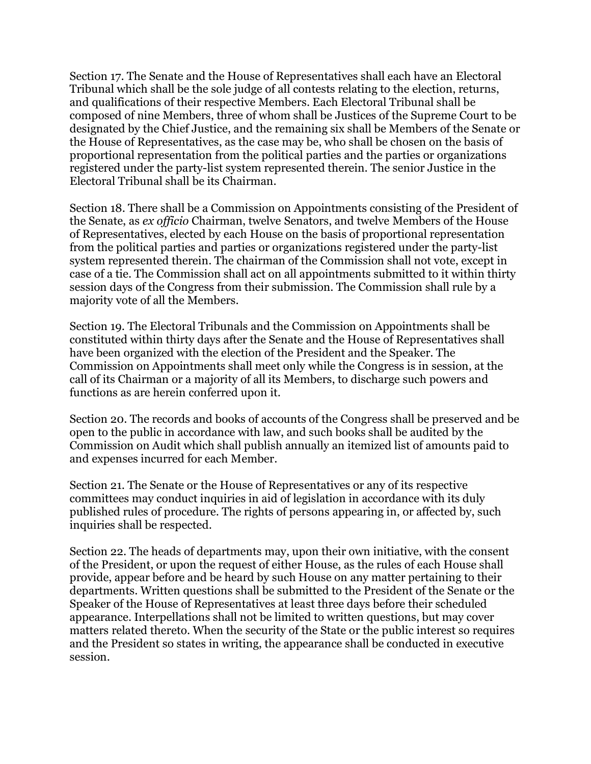Section 17. The Senate and the House of Representatives shall each have an Electoral Tribunal which shall be the sole judge of all contests relating to the election, returns, and qualifications of their respective Members. Each Electoral Tribunal shall be composed of nine Members, three of whom shall be Justices of the Supreme Court to be designated by the Chief Justice, and the remaining six shall be Members of the Senate or the House of Representatives, as the case may be, who shall be chosen on the basis of proportional representation from the political parties and the parties or organizations registered under the party-list system represented therein. The senior Justice in the Electoral Tribunal shall be its Chairman.

Section 18. There shall be a Commission on Appointments consisting of the President of the Senate, as *ex officio* Chairman, twelve Senators, and twelve Members of the House of Representatives, elected by each House on the basis of proportional representation from the political parties and parties or organizations registered under the party-list system represented therein. The chairman of the Commission shall not vote, except in case of a tie. The Commission shall act on all appointments submitted to it within thirty session days of the Congress from their submission. The Commission shall rule by a majority vote of all the Members.

Section 19. The Electoral Tribunals and the Commission on Appointments shall be constituted within thirty days after the Senate and the House of Representatives shall have been organized with the election of the President and the Speaker. The Commission on Appointments shall meet only while the Congress is in session, at the call of its Chairman or a majority of all its Members, to discharge such powers and functions as are herein conferred upon it.

Section 20. The records and books of accounts of the Congress shall be preserved and be open to the public in accordance with law, and such books shall be audited by the Commission on Audit which shall publish annually an itemized list of amounts paid to and expenses incurred for each Member.

Section 21. The Senate or the House of Representatives or any of its respective committees may conduct inquiries in aid of legislation in accordance with its duly published rules of procedure. The rights of persons appearing in, or affected by, such inquiries shall be respected.

Section 22. The heads of departments may, upon their own initiative, with the consent of the President, or upon the request of either House, as the rules of each House shall provide, appear before and be heard by such House on any matter pertaining to their departments. Written questions shall be submitted to the President of the Senate or the Speaker of the House of Representatives at least three days before their scheduled appearance. Interpellations shall not be limited to written questions, but may cover matters related thereto. When the security of the State or the public interest so requires and the President so states in writing, the appearance shall be conducted in executive session.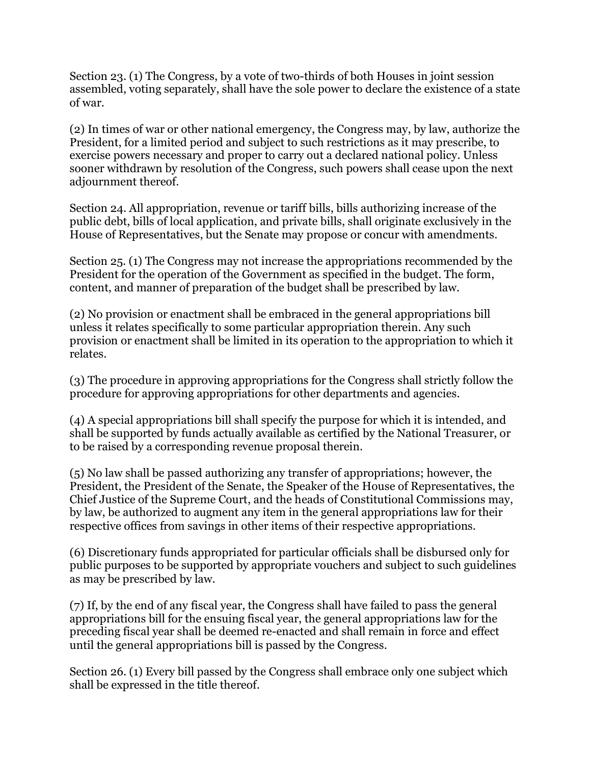Section 23. (1) The Congress, by a vote of two-thirds of both Houses in joint session assembled, voting separately, shall have the sole power to declare the existence of a state of war.

(2) In times of war or other national emergency, the Congress may, by law, authorize the President, for a limited period and subject to such restrictions as it may prescribe, to exercise powers necessary and proper to carry out a declared national policy. Unless sooner withdrawn by resolution of the Congress, such powers shall cease upon the next adjournment thereof.

Section 24. All appropriation, revenue or tariff bills, bills authorizing increase of the public debt, bills of local application, and private bills, shall originate exclusively in the House of Representatives, but the Senate may propose or concur with amendments.

Section 25. (1) The Congress may not increase the appropriations recommended by the President for the operation of the Government as specified in the budget. The form, content, and manner of preparation of the budget shall be prescribed by law.

(2) No provision or enactment shall be embraced in the general appropriations bill unless it relates specifically to some particular appropriation therein. Any such provision or enactment shall be limited in its operation to the appropriation to which it relates.

(3) The procedure in approving appropriations for the Congress shall strictly follow the procedure for approving appropriations for other departments and agencies.

(4) A special appropriations bill shall specify the purpose for which it is intended, and shall be supported by funds actually available as certified by the National Treasurer, or to be raised by a corresponding revenue proposal therein.

(5) No law shall be passed authorizing any transfer of appropriations; however, the President, the President of the Senate, the Speaker of the House of Representatives, the Chief Justice of the Supreme Court, and the heads of Constitutional Commissions may, by law, be authorized to augment any item in the general appropriations law for their respective offices from savings in other items of their respective appropriations.

(6) Discretionary funds appropriated for particular officials shall be disbursed only for public purposes to be supported by appropriate vouchers and subject to such guidelines as may be prescribed by law.

(7) If, by the end of any fiscal year, the Congress shall have failed to pass the general appropriations bill for the ensuing fiscal year, the general appropriations law for the preceding fiscal year shall be deemed re-enacted and shall remain in force and effect until the general appropriations bill is passed by the Congress.

Section 26. (1) Every bill passed by the Congress shall embrace only one subject which shall be expressed in the title thereof.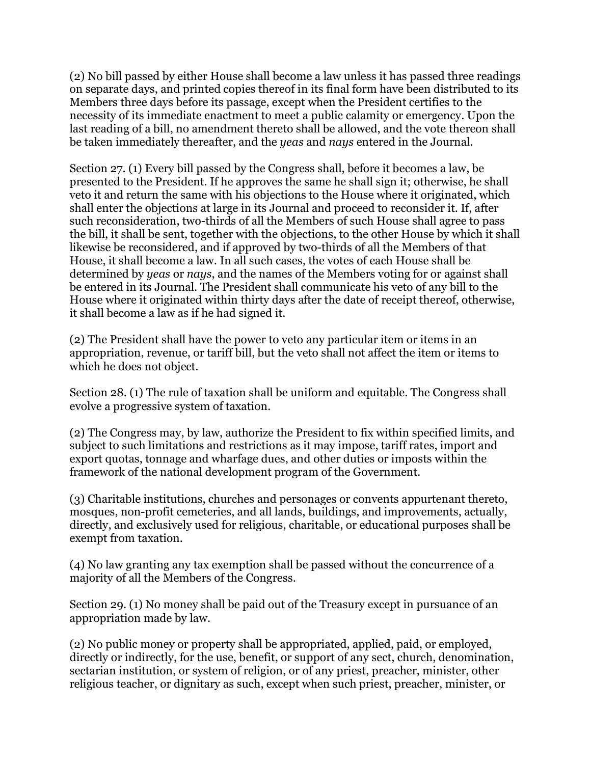(2) No bill passed by either House shall become a law unless it has passed three readings on separate days, and printed copies thereof in its final form have been distributed to its Members three days before its passage, except when the President certifies to the necessity of its immediate enactment to meet a public calamity or emergency. Upon the last reading of a bill, no amendment thereto shall be allowed, and the vote thereon shall be taken immediately thereafter, and the *yeas* and *nays* entered in the Journal.

Section 27. (1) Every bill passed by the Congress shall, before it becomes a law, be presented to the President. If he approves the same he shall sign it; otherwise, he shall veto it and return the same with his objections to the House where it originated, which shall enter the objections at large in its Journal and proceed to reconsider it. If, after such reconsideration, two-thirds of all the Members of such House shall agree to pass the bill, it shall be sent, together with the objections, to the other House by which it shall likewise be reconsidered, and if approved by two-thirds of all the Members of that House, it shall become a law. In all such cases, the votes of each House shall be determined by *yeas* or *nays*, and the names of the Members voting for or against shall be entered in its Journal. The President shall communicate his veto of any bill to the House where it originated within thirty days after the date of receipt thereof, otherwise, it shall become a law as if he had signed it.

(2) The President shall have the power to veto any particular item or items in an appropriation, revenue, or tariff bill, but the veto shall not affect the item or items to which he does not object.

Section 28. (1) The rule of taxation shall be uniform and equitable. The Congress shall evolve a progressive system of taxation.

(2) The Congress may, by law, authorize the President to fix within specified limits, and subject to such limitations and restrictions as it may impose, tariff rates, import and export quotas, tonnage and wharfage dues, and other duties or imposts within the framework of the national development program of the Government.

(3) Charitable institutions, churches and personages or convents appurtenant thereto, mosques, non-profit cemeteries, and all lands, buildings, and improvements, actually, directly, and exclusively used for religious, charitable, or educational purposes shall be exempt from taxation.

(4) No law granting any tax exemption shall be passed without the concurrence of a majority of all the Members of the Congress.

Section 29. (1) No money shall be paid out of the Treasury except in pursuance of an appropriation made by law.

(2) No public money or property shall be appropriated, applied, paid, or employed, directly or indirectly, for the use, benefit, or support of any sect, church, denomination, sectarian institution, or system of religion, or of any priest, preacher, minister, other religious teacher, or dignitary as such, except when such priest, preacher, minister, or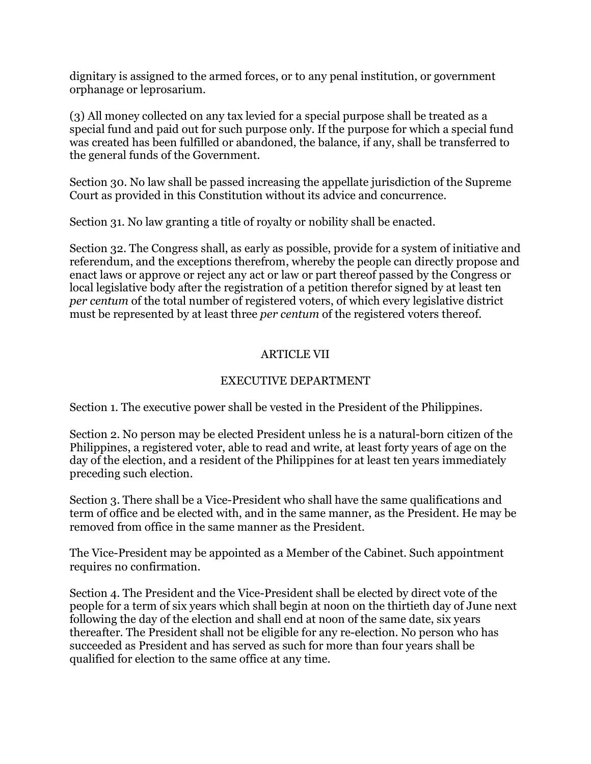dignitary is assigned to the armed forces, or to any penal institution, or government orphanage or leprosarium.

(3) All money collected on any tax levied for a special purpose shall be treated as a special fund and paid out for such purpose only. If the purpose for which a special fund was created has been fulfilled or abandoned, the balance, if any, shall be transferred to the general funds of the Government.

Section 30. No law shall be passed increasing the appellate jurisdiction of the Supreme Court as provided in this Constitution without its advice and concurrence.

Section 31. No law granting a title of royalty or nobility shall be enacted.

Section 32. The Congress shall, as early as possible, provide for a system of initiative and referendum, and the exceptions therefrom, whereby the people can directly propose and enact laws or approve or reject any act or law or part thereof passed by the Congress or local legislative body after the registration of a petition therefor signed by at least ten *per centum* of the total number of registered voters, of which every legislative district must be represented by at least three *per centum* of the registered voters thereof.

# ARTICLE VII

## EXECUTIVE DEPARTMENT

Section 1. The executive power shall be vested in the President of the Philippines.

Section 2. No person may be elected President unless he is a natural-born citizen of the Philippines, a registered voter, able to read and write, at least forty years of age on the day of the election, and a resident of the Philippines for at least ten years immediately preceding such election.

Section 3. There shall be a Vice-President who shall have the same qualifications and term of office and be elected with, and in the same manner, as the President. He may be removed from office in the same manner as the President.

The Vice-President may be appointed as a Member of the Cabinet. Such appointment requires no confirmation.

Section 4. The President and the Vice-President shall be elected by direct vote of the people for a term of six years which shall begin at noon on the thirtieth day of June next following the day of the election and shall end at noon of the same date, six years thereafter. The President shall not be eligible for any re-election. No person who has succeeded as President and has served as such for more than four years shall be qualified for election to the same office at any time.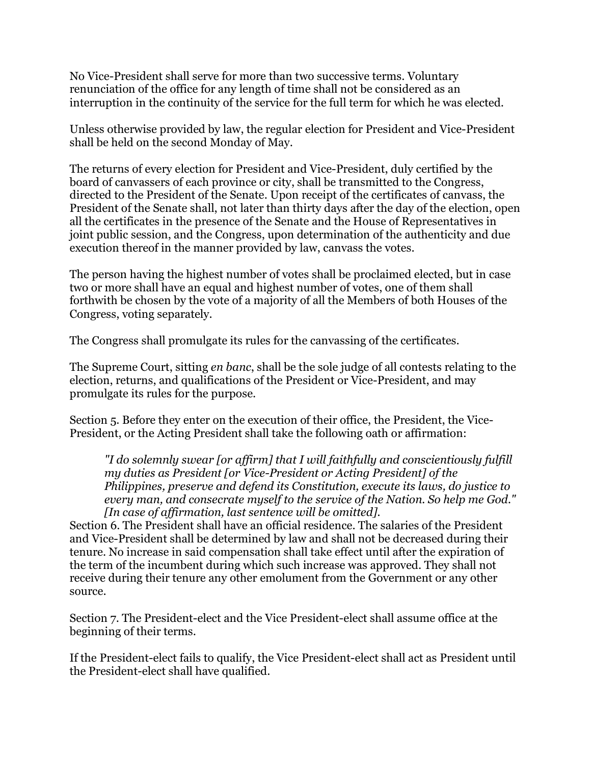No Vice-President shall serve for more than two successive terms. Voluntary renunciation of the office for any length of time shall not be considered as an interruption in the continuity of the service for the full term for which he was elected.

Unless otherwise provided by law, the regular election for President and Vice-President shall be held on the second Monday of May.

The returns of every election for President and Vice-President, duly certified by the board of canvassers of each province or city, shall be transmitted to the Congress, directed to the President of the Senate. Upon receipt of the certificates of canvass, the President of the Senate shall, not later than thirty days after the day of the election, open all the certificates in the presence of the Senate and the House of Representatives in joint public session, and the Congress, upon determination of the authenticity and due execution thereof in the manner provided by law, canvass the votes.

The person having the highest number of votes shall be proclaimed elected, but in case two or more shall have an equal and highest number of votes, one of them shall forthwith be chosen by the vote of a majority of all the Members of both Houses of the Congress, voting separately.

The Congress shall promulgate its rules for the canvassing of the certificates.

The Supreme Court, sitting *en banc*, shall be the sole judge of all contests relating to the election, returns, and qualifications of the President or Vice-President, and may promulgate its rules for the purpose.

Section 5. Before they enter on the execution of their office, the President, the Vice-President, or the Acting President shall take the following oath or affirmation:

*"I do solemnly swear [or affirm] that I will faithfully and conscientiously fulfill my duties as President [or Vice-President or Acting President] of the Philippines, preserve and defend its Constitution, execute its laws, do justice to every man, and consecrate myself to the service of the Nation. So help me God." [In case of affirmation, last sentence will be omitted].*

Section 6. The President shall have an official residence. The salaries of the President and Vice-President shall be determined by law and shall not be decreased during their tenure. No increase in said compensation shall take effect until after the expiration of the term of the incumbent during which such increase was approved. They shall not receive during their tenure any other emolument from the Government or any other source.

Section 7. The President-elect and the Vice President-elect shall assume office at the beginning of their terms.

If the President-elect fails to qualify, the Vice President-elect shall act as President until the President-elect shall have qualified.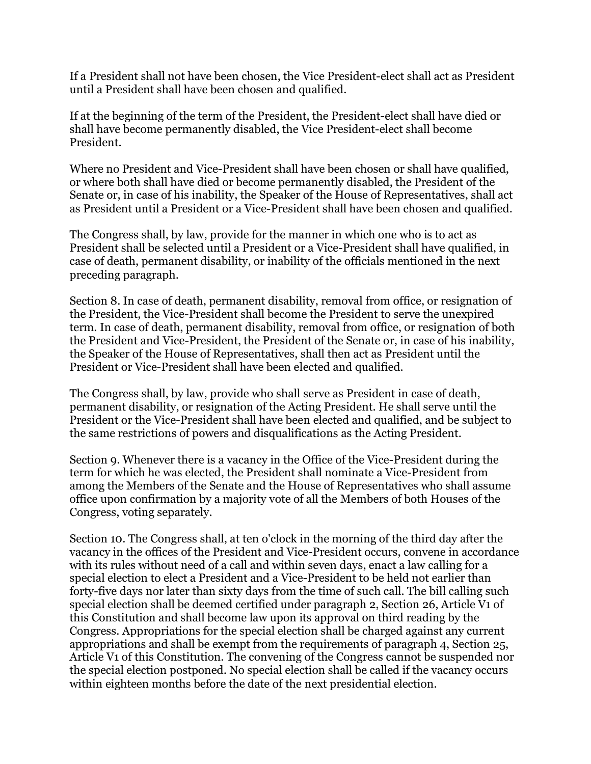If a President shall not have been chosen, the Vice President-elect shall act as President until a President shall have been chosen and qualified.

If at the beginning of the term of the President, the President-elect shall have died or shall have become permanently disabled, the Vice President-elect shall become President.

Where no President and Vice-President shall have been chosen or shall have qualified, or where both shall have died or become permanently disabled, the President of the Senate or, in case of his inability, the Speaker of the House of Representatives, shall act as President until a President or a Vice-President shall have been chosen and qualified.

The Congress shall, by law, provide for the manner in which one who is to act as President shall be selected until a President or a Vice-President shall have qualified, in case of death, permanent disability, or inability of the officials mentioned in the next preceding paragraph.

Section 8. In case of death, permanent disability, removal from office, or resignation of the President, the Vice-President shall become the President to serve the unexpired term. In case of death, permanent disability, removal from office, or resignation of both the President and Vice-President, the President of the Senate or, in case of his inability, the Speaker of the House of Representatives, shall then act as President until the President or Vice-President shall have been elected and qualified.

The Congress shall, by law, provide who shall serve as President in case of death, permanent disability, or resignation of the Acting President. He shall serve until the President or the Vice-President shall have been elected and qualified, and be subject to the same restrictions of powers and disqualifications as the Acting President.

Section 9. Whenever there is a vacancy in the Office of the Vice-President during the term for which he was elected, the President shall nominate a Vice-President from among the Members of the Senate and the House of Representatives who shall assume office upon confirmation by a majority vote of all the Members of both Houses of the Congress, voting separately.

Section 10. The Congress shall, at ten o'clock in the morning of the third day after the vacancy in the offices of the President and Vice-President occurs, convene in accordance with its rules without need of a call and within seven days, enact a law calling for a special election to elect a President and a Vice-President to be held not earlier than forty-five days nor later than sixty days from the time of such call. The bill calling such special election shall be deemed certified under paragraph 2, Section 26, Article V1 of this Constitution and shall become law upon its approval on third reading by the Congress. Appropriations for the special election shall be charged against any current appropriations and shall be exempt from the requirements of paragraph 4, Section 25, Article V1 of this Constitution. The convening of the Congress cannot be suspended nor the special election postponed. No special election shall be called if the vacancy occurs within eighteen months before the date of the next presidential election.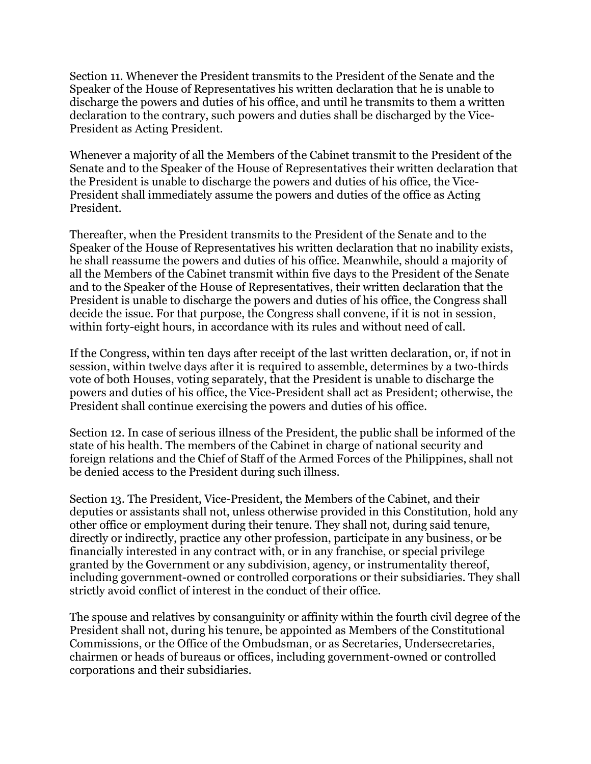Section 11. Whenever the President transmits to the President of the Senate and the Speaker of the House of Representatives his written declaration that he is unable to discharge the powers and duties of his office, and until he transmits to them a written declaration to the contrary, such powers and duties shall be discharged by the Vice-President as Acting President.

Whenever a majority of all the Members of the Cabinet transmit to the President of the Senate and to the Speaker of the House of Representatives their written declaration that the President is unable to discharge the powers and duties of his office, the Vice-President shall immediately assume the powers and duties of the office as Acting President.

Thereafter, when the President transmits to the President of the Senate and to the Speaker of the House of Representatives his written declaration that no inability exists, he shall reassume the powers and duties of his office. Meanwhile, should a majority of all the Members of the Cabinet transmit within five days to the President of the Senate and to the Speaker of the House of Representatives, their written declaration that the President is unable to discharge the powers and duties of his office, the Congress shall decide the issue. For that purpose, the Congress shall convene, if it is not in session, within forty-eight hours, in accordance with its rules and without need of call.

If the Congress, within ten days after receipt of the last written declaration, or, if not in session, within twelve days after it is required to assemble, determines by a two-thirds vote of both Houses, voting separately, that the President is unable to discharge the powers and duties of his office, the Vice-President shall act as President; otherwise, the President shall continue exercising the powers and duties of his office.

Section 12. In case of serious illness of the President, the public shall be informed of the state of his health. The members of the Cabinet in charge of national security and foreign relations and the Chief of Staff of the Armed Forces of the Philippines, shall not be denied access to the President during such illness.

Section 13. The President, Vice-President, the Members of the Cabinet, and their deputies or assistants shall not, unless otherwise provided in this Constitution, hold any other office or employment during their tenure. They shall not, during said tenure, directly or indirectly, practice any other profession, participate in any business, or be financially interested in any contract with, or in any franchise, or special privilege granted by the Government or any subdivision, agency, or instrumentality thereof, including government-owned or controlled corporations or their subsidiaries. They shall strictly avoid conflict of interest in the conduct of their office.

The spouse and relatives by consanguinity or affinity within the fourth civil degree of the President shall not, during his tenure, be appointed as Members of the Constitutional Commissions, or the Office of the Ombudsman, or as Secretaries, Undersecretaries, chairmen or heads of bureaus or offices, including government-owned or controlled corporations and their subsidiaries.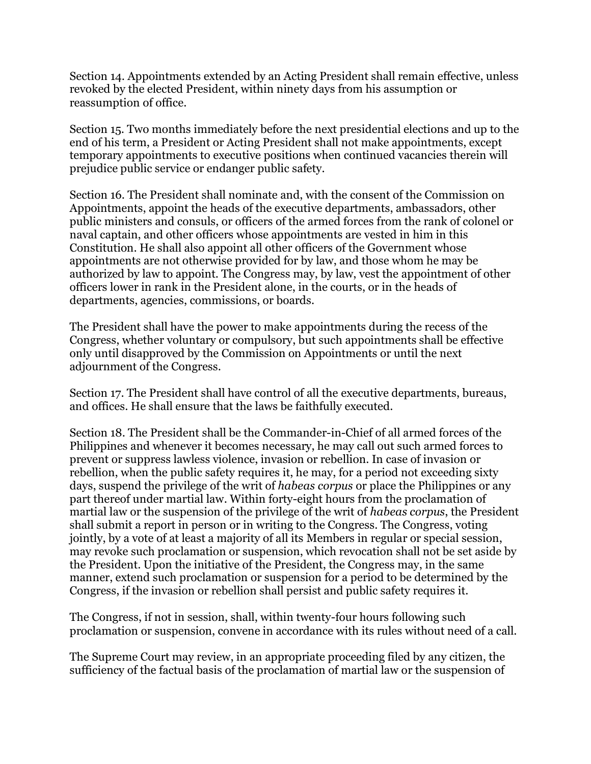Section 14. Appointments extended by an Acting President shall remain effective, unless revoked by the elected President, within ninety days from his assumption or reassumption of office.

Section 15. Two months immediately before the next presidential elections and up to the end of his term, a President or Acting President shall not make appointments, except temporary appointments to executive positions when continued vacancies therein will prejudice public service or endanger public safety.

Section 16. The President shall nominate and, with the consent of the Commission on Appointments, appoint the heads of the executive departments, ambassadors, other public ministers and consuls, or officers of the armed forces from the rank of colonel or naval captain, and other officers whose appointments are vested in him in this Constitution. He shall also appoint all other officers of the Government whose appointments are not otherwise provided for by law, and those whom he may be authorized by law to appoint. The Congress may, by law, vest the appointment of other officers lower in rank in the President alone, in the courts, or in the heads of departments, agencies, commissions, or boards.

The President shall have the power to make appointments during the recess of the Congress, whether voluntary or compulsory, but such appointments shall be effective only until disapproved by the Commission on Appointments or until the next adjournment of the Congress.

Section 17. The President shall have control of all the executive departments, bureaus, and offices. He shall ensure that the laws be faithfully executed.

Section 18. The President shall be the Commander-in-Chief of all armed forces of the Philippines and whenever it becomes necessary, he may call out such armed forces to prevent or suppress lawless violence, invasion or rebellion. In case of invasion or rebellion, when the public safety requires it, he may, for a period not exceeding sixty days, suspend the privilege of the writ of *habeas corpus* or place the Philippines or any part thereof under martial law. Within forty-eight hours from the proclamation of martial law or the suspension of the privilege of the writ of *habeas corpus*, the President shall submit a report in person or in writing to the Congress. The Congress, voting jointly, by a vote of at least a majority of all its Members in regular or special session, may revoke such proclamation or suspension, which revocation shall not be set aside by the President. Upon the initiative of the President, the Congress may, in the same manner, extend such proclamation or suspension for a period to be determined by the Congress, if the invasion or rebellion shall persist and public safety requires it.

The Congress, if not in session, shall, within twenty-four hours following such proclamation or suspension, convene in accordance with its rules without need of a call.

The Supreme Court may review, in an appropriate proceeding filed by any citizen, the sufficiency of the factual basis of the proclamation of martial law or the suspension of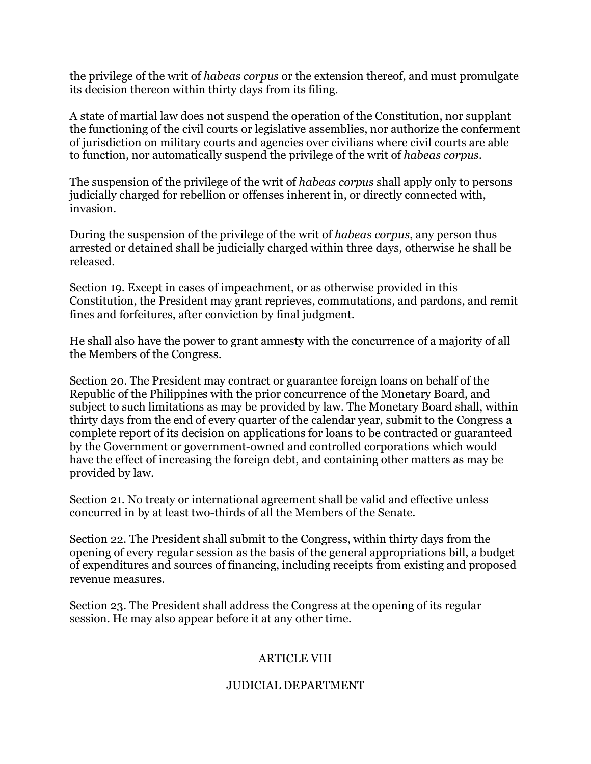the privilege of the writ of *habeas corpus* or the extension thereof, and must promulgate its decision thereon within thirty days from its filing.

A state of martial law does not suspend the operation of the Constitution, nor supplant the functioning of the civil courts or legislative assemblies, nor authorize the conferment of jurisdiction on military courts and agencies over civilians where civil courts are able to function, nor automatically suspend the privilege of the writ of *habeas corpus*.

The suspension of the privilege of the writ of *habeas corpus* shall apply only to persons judicially charged for rebellion or offenses inherent in, or directly connected with, invasion.

During the suspension of the privilege of the writ of *habeas corpus*, any person thus arrested or detained shall be judicially charged within three days, otherwise he shall be released.

Section 19. Except in cases of impeachment, or as otherwise provided in this Constitution, the President may grant reprieves, commutations, and pardons, and remit fines and forfeitures, after conviction by final judgment.

He shall also have the power to grant amnesty with the concurrence of a majority of all the Members of the Congress.

Section 20. The President may contract or guarantee foreign loans on behalf of the Republic of the Philippines with the prior concurrence of the Monetary Board, and subject to such limitations as may be provided by law. The Monetary Board shall, within thirty days from the end of every quarter of the calendar year, submit to the Congress a complete report of its decision on applications for loans to be contracted or guaranteed by the Government or government-owned and controlled corporations which would have the effect of increasing the foreign debt, and containing other matters as may be provided by law.

Section 21. No treaty or international agreement shall be valid and effective unless concurred in by at least two-thirds of all the Members of the Senate.

Section 22. The President shall submit to the Congress, within thirty days from the opening of every regular session as the basis of the general appropriations bill, a budget of expenditures and sources of financing, including receipts from existing and proposed revenue measures.

Section 23. The President shall address the Congress at the opening of its regular session. He may also appear before it at any other time.

# ARTICLE VIII

### JUDICIAL DEPARTMENT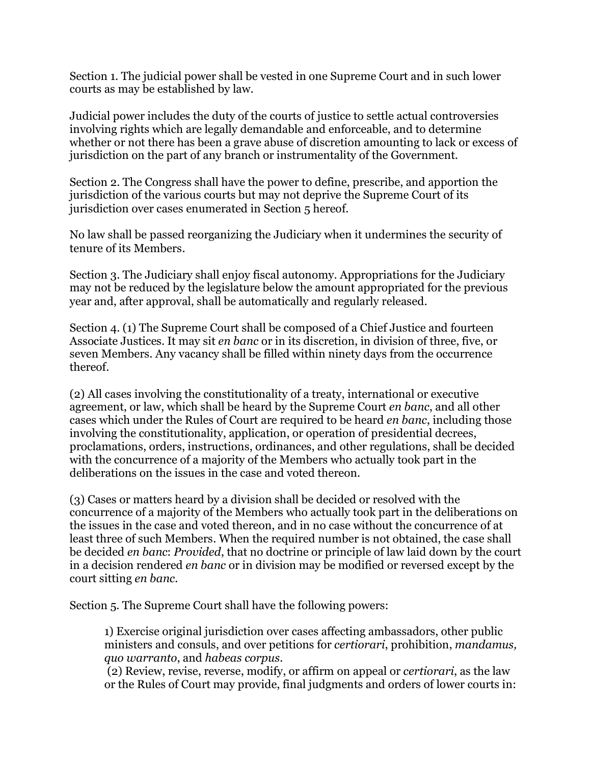Section 1. The judicial power shall be vested in one Supreme Court and in such lower courts as may be established by law.

Judicial power includes the duty of the courts of justice to settle actual controversies involving rights which are legally demandable and enforceable, and to determine whether or not there has been a grave abuse of discretion amounting to lack or excess of jurisdiction on the part of any branch or instrumentality of the Government.

Section 2. The Congress shall have the power to define, prescribe, and apportion the jurisdiction of the various courts but may not deprive the Supreme Court of its jurisdiction over cases enumerated in Section 5 hereof.

No law shall be passed reorganizing the Judiciary when it undermines the security of tenure of its Members.

Section 3. The Judiciary shall enjoy fiscal autonomy. Appropriations for the Judiciary may not be reduced by the legislature below the amount appropriated for the previous year and, after approval, shall be automatically and regularly released.

Section 4. (1) The Supreme Court shall be composed of a Chief Justice and fourteen Associate Justices. It may sit *en banc* or in its discretion, in division of three, five, or seven Members. Any vacancy shall be filled within ninety days from the occurrence thereof.

(2) All cases involving the constitutionality of a treaty, international or executive agreement, or law, which shall be heard by the Supreme Court *en banc*, and all other cases which under the Rules of Court are required to be heard *en banc*, including those involving the constitutionality, application, or operation of presidential decrees, proclamations, orders, instructions, ordinances, and other regulations, shall be decided with the concurrence of a majority of the Members who actually took part in the deliberations on the issues in the case and voted thereon.

(3) Cases or matters heard by a division shall be decided or resolved with the concurrence of a majority of the Members who actually took part in the deliberations on the issues in the case and voted thereon, and in no case without the concurrence of at least three of such Members. When the required number is not obtained, the case shall be decided *en banc*: *Provided*, that no doctrine or principle of law laid down by the court in a decision rendered *en banc* or in division may be modified or reversed except by the court sitting *en banc.*

Section 5. The Supreme Court shall have the following powers:

1) Exercise original jurisdiction over cases affecting ambassadors, other public ministers and consuls, and over petitions for *certiorari*, prohibition, *mandamus, quo warranto*, and *habeas corpus.*

(2) Review, revise, reverse, modify, or affirm on appeal or *certiorari*, as the law or the Rules of Court may provide, final judgments and orders of lower courts in: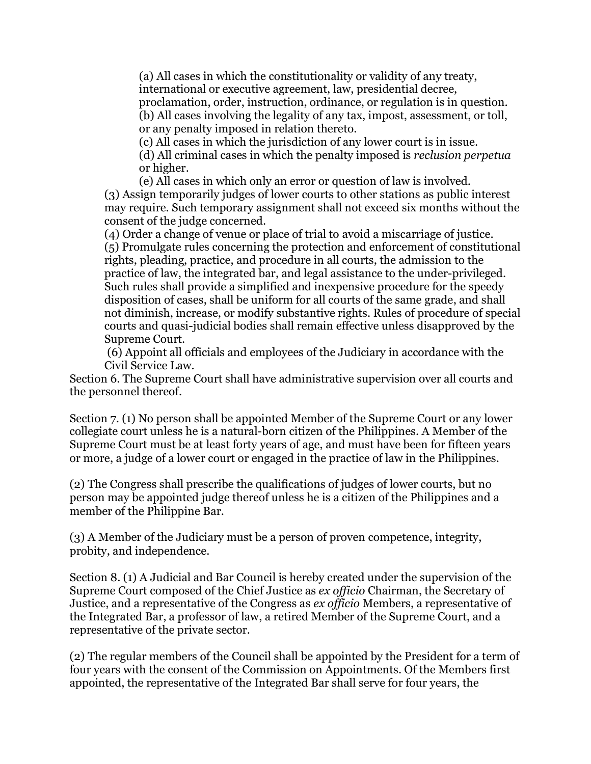(a) All cases in which the constitutionality or validity of any treaty, international or executive agreement, law, presidential decree, proclamation, order, instruction, ordinance, or regulation is in question. (b) All cases involving the legality of any tax, impost, assessment, or toll, or any penalty imposed in relation thereto.

(c) All cases in which the jurisdiction of any lower court is in issue.

(d) All criminal cases in which the penalty imposed is *reclusion perpetua* or higher.

(e) All cases in which only an error or question of law is involved. (3) Assign temporarily judges of lower courts to other stations as public interest may require. Such temporary assignment shall not exceed six months without the consent of the judge concerned.

(4) Order a change of venue or place of trial to avoid a miscarriage of justice. (5) Promulgate rules concerning the protection and enforcement of constitutional rights, pleading, practice, and procedure in all courts, the admission to the practice of law, the integrated bar, and legal assistance to the under-privileged. Such rules shall provide a simplified and inexpensive procedure for the speedy disposition of cases, shall be uniform for all courts of the same grade, and shall not diminish, increase, or modify substantive rights. Rules of procedure of special courts and quasi-judicial bodies shall remain effective unless disapproved by the Supreme Court.

(6) Appoint all officials and employees of the Judiciary in accordance with the Civil Service Law.

Section 6. The Supreme Court shall have administrative supervision over all courts and the personnel thereof.

Section 7. (1) No person shall be appointed Member of the Supreme Court or any lower collegiate court unless he is a natural-born citizen of the Philippines. A Member of the Supreme Court must be at least forty years of age, and must have been for fifteen years or more, a judge of a lower court or engaged in the practice of law in the Philippines.

(2) The Congress shall prescribe the qualifications of judges of lower courts, but no person may be appointed judge thereof unless he is a citizen of the Philippines and a member of the Philippine Bar.

(3) A Member of the Judiciary must be a person of proven competence, integrity, probity, and independence.

Section 8. (1) A Judicial and Bar Council is hereby created under the supervision of the Supreme Court composed of the Chief Justice as *ex officio* Chairman, the Secretary of Justice, and a representative of the Congress as *ex officio* Members, a representative of the Integrated Bar, a professor of law, a retired Member of the Supreme Court, and a representative of the private sector.

(2) The regular members of the Council shall be appointed by the President for a term of four years with the consent of the Commission on Appointments. Of the Members first appointed, the representative of the Integrated Bar shall serve for four years, the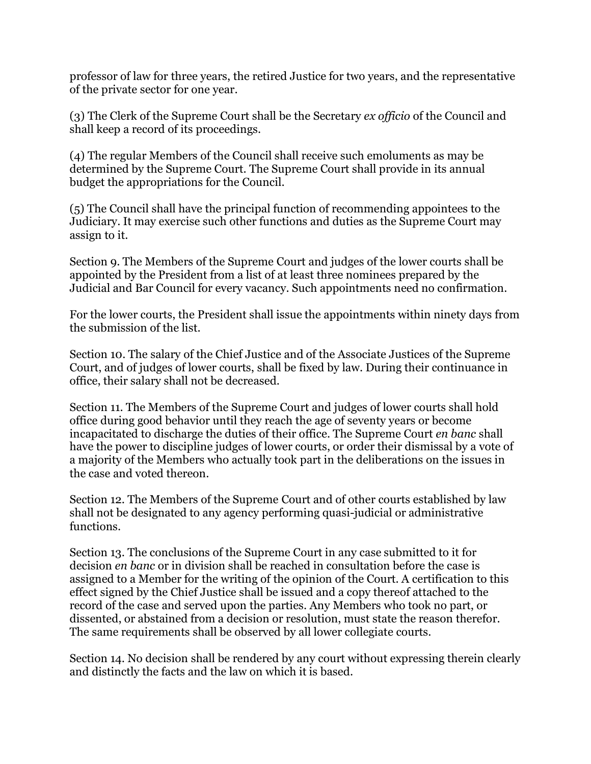professor of law for three years, the retired Justice for two years, and the representative of the private sector for one year.

(3) The Clerk of the Supreme Court shall be the Secretary *ex officio* of the Council and shall keep a record of its proceedings.

(4) The regular Members of the Council shall receive such emoluments as may be determined by the Supreme Court. The Supreme Court shall provide in its annual budget the appropriations for the Council.

(5) The Council shall have the principal function of recommending appointees to the Judiciary. It may exercise such other functions and duties as the Supreme Court may assign to it.

Section 9. The Members of the Supreme Court and judges of the lower courts shall be appointed by the President from a list of at least three nominees prepared by the Judicial and Bar Council for every vacancy. Such appointments need no confirmation.

For the lower courts, the President shall issue the appointments within ninety days from the submission of the list.

Section 10. The salary of the Chief Justice and of the Associate Justices of the Supreme Court, and of judges of lower courts, shall be fixed by law. During their continuance in office, their salary shall not be decreased.

Section 11. The Members of the Supreme Court and judges of lower courts shall hold office during good behavior until they reach the age of seventy years or become incapacitated to discharge the duties of their office. The Supreme Court *en banc* shall have the power to discipline judges of lower courts, or order their dismissal by a vote of a majority of the Members who actually took part in the deliberations on the issues in the case and voted thereon.

Section 12. The Members of the Supreme Court and of other courts established by law shall not be designated to any agency performing quasi-judicial or administrative functions.

Section 13. The conclusions of the Supreme Court in any case submitted to it for decision *en banc* or in division shall be reached in consultation before the case is assigned to a Member for the writing of the opinion of the Court. A certification to this effect signed by the Chief Justice shall be issued and a copy thereof attached to the record of the case and served upon the parties. Any Members who took no part, or dissented, or abstained from a decision or resolution, must state the reason therefor. The same requirements shall be observed by all lower collegiate courts.

Section 14. No decision shall be rendered by any court without expressing therein clearly and distinctly the facts and the law on which it is based.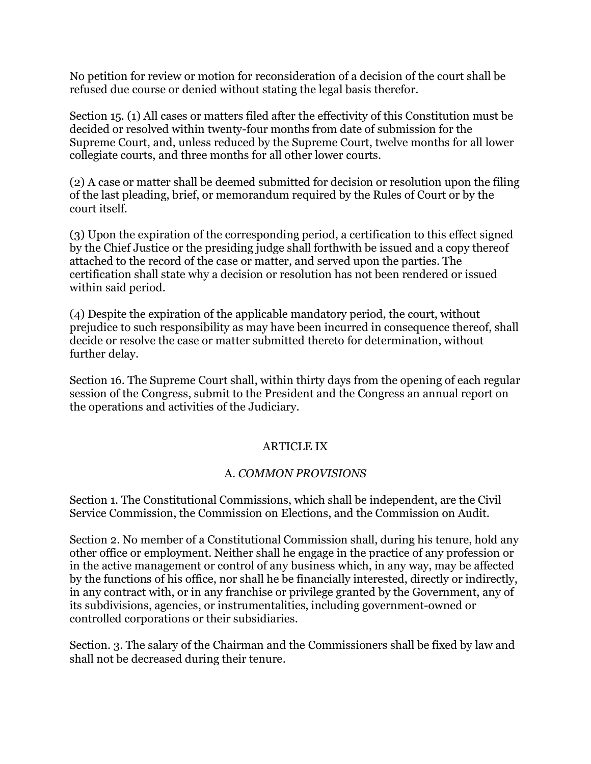No petition for review or motion for reconsideration of a decision of the court shall be refused due course or denied without stating the legal basis therefor.

Section 15. (1) All cases or matters filed after the effectivity of this Constitution must be decided or resolved within twenty-four months from date of submission for the Supreme Court, and, unless reduced by the Supreme Court, twelve months for all lower collegiate courts, and three months for all other lower courts.

(2) A case or matter shall be deemed submitted for decision or resolution upon the filing of the last pleading, brief, or memorandum required by the Rules of Court or by the court itself.

(3) Upon the expiration of the corresponding period, a certification to this effect signed by the Chief Justice or the presiding judge shall forthwith be issued and a copy thereof attached to the record of the case or matter, and served upon the parties. The certification shall state why a decision or resolution has not been rendered or issued within said period.

(4) Despite the expiration of the applicable mandatory period, the court, without prejudice to such responsibility as may have been incurred in consequence thereof, shall decide or resolve the case or matter submitted thereto for determination, without further delay.

Section 16. The Supreme Court shall, within thirty days from the opening of each regular session of the Congress, submit to the President and the Congress an annual report on the operations and activities of the Judiciary.

# ARTICLE IX

### A. *COMMON PROVISIONS*

Section 1. The Constitutional Commissions, which shall be independent, are the Civil Service Commission, the Commission on Elections, and the Commission on Audit.

Section 2. No member of a Constitutional Commission shall, during his tenure, hold any other office or employment. Neither shall he engage in the practice of any profession or in the active management or control of any business which, in any way, may be affected by the functions of his office, nor shall he be financially interested, directly or indirectly, in any contract with, or in any franchise or privilege granted by the Government, any of its subdivisions, agencies, or instrumentalities, including government-owned or controlled corporations or their subsidiaries.

Section. 3. The salary of the Chairman and the Commissioners shall be fixed by law and shall not be decreased during their tenure.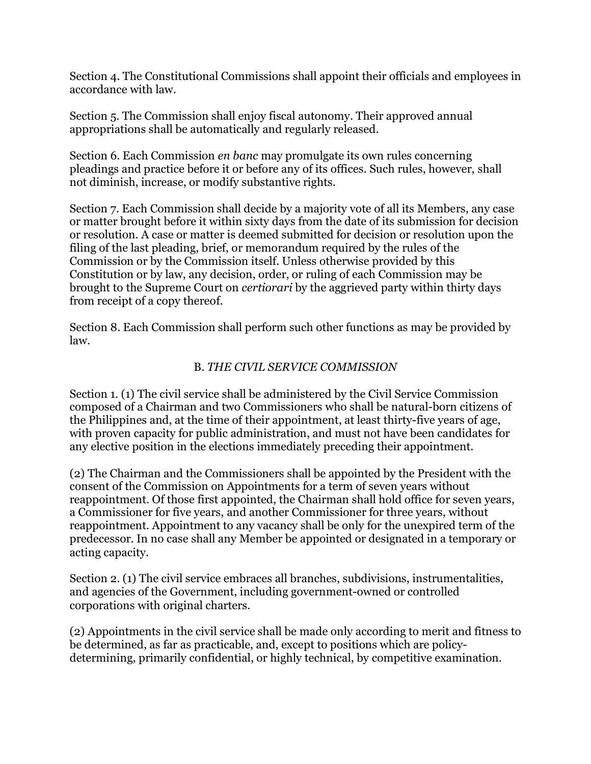Section 4. The Constitutional Commissions shall appoint their officials and employees in accordance with law.

Section 5. The Commission shall enjoy fiscal autonomy. Their approved annual appropriations shall be automatically and regularly released.

Section 6. Each Commission *en banc* may promulgate its own rules concerning pleadings and practice before it or before any of its offices. Such rules, however, shall not diminish, increase, or modify substantive rights.

Section 7. Each Commission shall decide by a majority vote of all its Members, any case or matter brought before it within sixty days from the date of its submission for decision or resolution. A case or matter is deemed submitted for decision or resolution upon the filing of the last pleading, brief, or memorandum required by the rules of the Commission or by the Commission itself. Unless otherwise provided by this Constitution or by law, any decision, order, or ruling of each Commission may be brought to the Supreme Court on *certiorari* by the aggrieved party within thirty days from receipt of a copy thereof.

Section 8. Each Commission shall perform such other functions as may be provided by law.

# B. *THE CIVIL SERVICE COMMISSION*

Section 1. (1) The civil service shall be administered by the Civil Service Commission composed of a Chairman and two Commissioners who shall be natural-born citizens of the Philippines and, at the time of their appointment, at least thirty-five years of age, with proven capacity for public administration, and must not have been candidates for any elective position in the elections immediately preceding their appointment.

(2) The Chairman and the Commissioners shall be appointed by the President with the consent of the Commission on Appointments for a term of seven years without reappointment. Of those first appointed, the Chairman shall hold office for seven years, a Commissioner for five years, and another Commissioner for three years, without reappointment. Appointment to any vacancy shall be only for the unexpired term of the predecessor. In no case shall any Member be appointed or designated in a temporary or acting capacity.

Section 2. (1) The civil service embraces all branches, subdivisions, instrumentalities, and agencies of the Government, including government-owned or controlled corporations with original charters.

(2) Appointments in the civil service shall be made only according to merit and fitness to be determined, as far as practicable, and, except to positions which are policydetermining, primarily confidential, or highly technical, by competitive examination.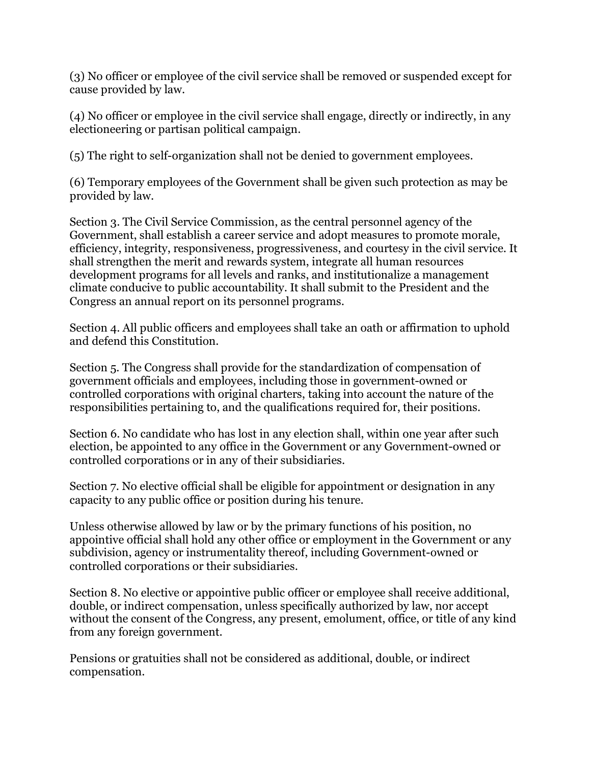(3) No officer or employee of the civil service shall be removed or suspended except for cause provided by law.

(4) No officer or employee in the civil service shall engage, directly or indirectly, in any electioneering or partisan political campaign.

(5) The right to self-organization shall not be denied to government employees.

(6) Temporary employees of the Government shall be given such protection as may be provided by law.

Section 3. The Civil Service Commission, as the central personnel agency of the Government, shall establish a career service and adopt measures to promote morale, efficiency, integrity, responsiveness, progressiveness, and courtesy in the civil service. It shall strengthen the merit and rewards system, integrate all human resources development programs for all levels and ranks, and institutionalize a management climate conducive to public accountability. It shall submit to the President and the Congress an annual report on its personnel programs.

Section 4. All public officers and employees shall take an oath or affirmation to uphold and defend this Constitution.

Section 5. The Congress shall provide for the standardization of compensation of government officials and employees, including those in government-owned or controlled corporations with original charters, taking into account the nature of the responsibilities pertaining to, and the qualifications required for, their positions.

Section 6. No candidate who has lost in any election shall, within one year after such election, be appointed to any office in the Government or any Government-owned or controlled corporations or in any of their subsidiaries.

Section 7. No elective official shall be eligible for appointment or designation in any capacity to any public office or position during his tenure.

Unless otherwise allowed by law or by the primary functions of his position, no appointive official shall hold any other office or employment in the Government or any subdivision, agency or instrumentality thereof, including Government-owned or controlled corporations or their subsidiaries.

Section 8. No elective or appointive public officer or employee shall receive additional, double, or indirect compensation, unless specifically authorized by law, nor accept without the consent of the Congress, any present, emolument, office, or title of any kind from any foreign government.

Pensions or gratuities shall not be considered as additional, double, or indirect compensation.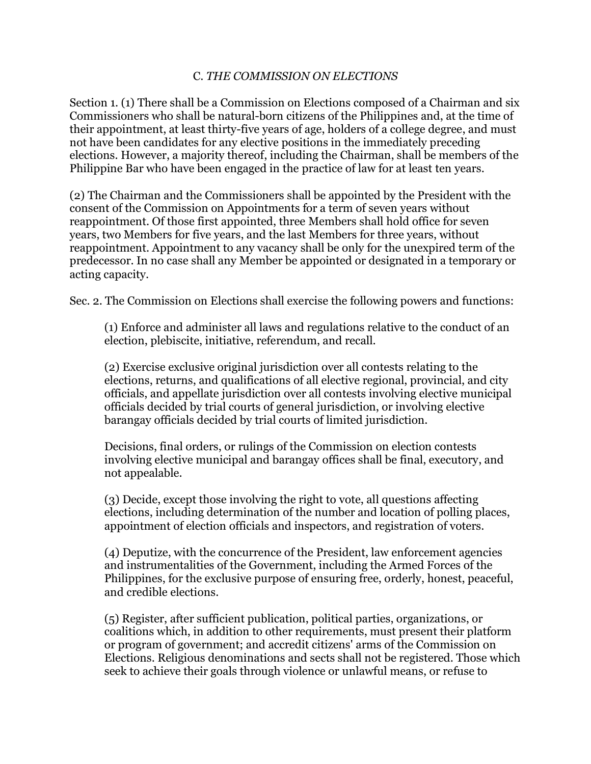### C. *THE COMMISSION ON ELECTIONS*

Section 1. (1) There shall be a Commission on Elections composed of a Chairman and six Commissioners who shall be natural-born citizens of the Philippines and, at the time of their appointment, at least thirty-five years of age, holders of a college degree, and must not have been candidates for any elective positions in the immediately preceding elections. However, a majority thereof, including the Chairman, shall be members of the Philippine Bar who have been engaged in the practice of law for at least ten years.

(2) The Chairman and the Commissioners shall be appointed by the President with the consent of the Commission on Appointments for a term of seven years without reappointment. Of those first appointed, three Members shall hold office for seven years, two Members for five years, and the last Members for three years, without reappointment. Appointment to any vacancy shall be only for the unexpired term of the predecessor. In no case shall any Member be appointed or designated in a temporary or acting capacity.

Sec. 2. The Commission on Elections shall exercise the following powers and functions:

(1) Enforce and administer all laws and regulations relative to the conduct of an election, plebiscite, initiative, referendum, and recall.

(2) Exercise exclusive original jurisdiction over all contests relating to the elections, returns, and qualifications of all elective regional, provincial, and city officials, and appellate jurisdiction over all contests involving elective municipal officials decided by trial courts of general jurisdiction, or involving elective barangay officials decided by trial courts of limited jurisdiction.

Decisions, final orders, or rulings of the Commission on election contests involving elective municipal and barangay offices shall be final, executory, and not appealable.

(3) Decide, except those involving the right to vote, all questions affecting elections, including determination of the number and location of polling places, appointment of election officials and inspectors, and registration of voters.

(4) Deputize, with the concurrence of the President, law enforcement agencies and instrumentalities of the Government, including the Armed Forces of the Philippines, for the exclusive purpose of ensuring free, orderly, honest, peaceful, and credible elections.

(5) Register, after sufficient publication, political parties, organizations, or coalitions which, in addition to other requirements, must present their platform or program of government; and accredit citizens' arms of the Commission on Elections. Religious denominations and sects shall not be registered. Those which seek to achieve their goals through violence or unlawful means, or refuse to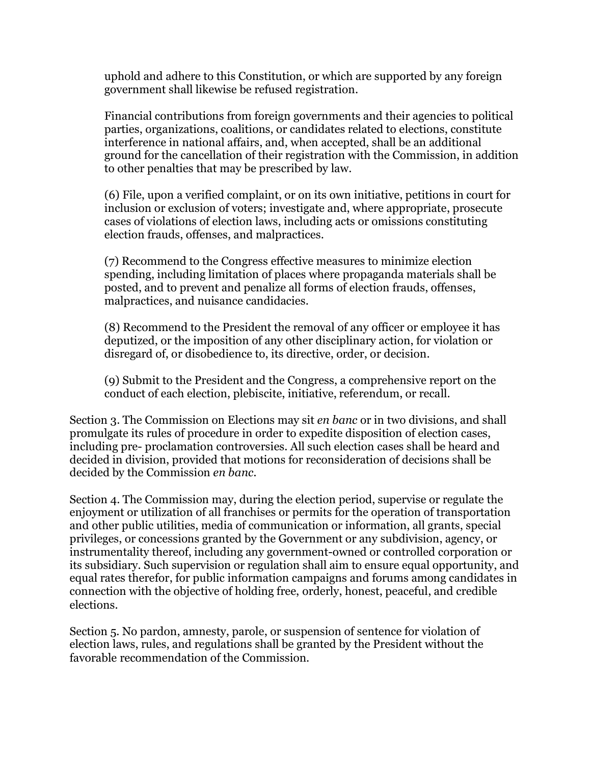uphold and adhere to this Constitution, or which are supported by any foreign government shall likewise be refused registration.

Financial contributions from foreign governments and their agencies to political parties, organizations, coalitions, or candidates related to elections, constitute interference in national affairs, and, when accepted, shall be an additional ground for the cancellation of their registration with the Commission, in addition to other penalties that may be prescribed by law.

(6) File, upon a verified complaint, or on its own initiative, petitions in court for inclusion or exclusion of voters; investigate and, where appropriate, prosecute cases of violations of election laws, including acts or omissions constituting election frauds, offenses, and malpractices.

(7) Recommend to the Congress effective measures to minimize election spending, including limitation of places where propaganda materials shall be posted, and to prevent and penalize all forms of election frauds, offenses, malpractices, and nuisance candidacies.

(8) Recommend to the President the removal of any officer or employee it has deputized, or the imposition of any other disciplinary action, for violation or disregard of, or disobedience to, its directive, order, or decision.

(9) Submit to the President and the Congress, a comprehensive report on the conduct of each election, plebiscite, initiative, referendum, or recall.

Section 3. The Commission on Elections may sit *en banc* or in two divisions, and shall promulgate its rules of procedure in order to expedite disposition of election cases, including pre- proclamation controversies. All such election cases shall be heard and decided in division, provided that motions for reconsideration of decisions shall be decided by the Commission *en banc.*

Section 4. The Commission may, during the election period, supervise or regulate the enjoyment or utilization of all franchises or permits for the operation of transportation and other public utilities, media of communication or information, all grants, special privileges, or concessions granted by the Government or any subdivision, agency, or instrumentality thereof, including any government-owned or controlled corporation or its subsidiary. Such supervision or regulation shall aim to ensure equal opportunity, and equal rates therefor, for public information campaigns and forums among candidates in connection with the objective of holding free, orderly, honest, peaceful, and credible elections.

Section 5. No pardon, amnesty, parole, or suspension of sentence for violation of election laws, rules, and regulations shall be granted by the President without the favorable recommendation of the Commission.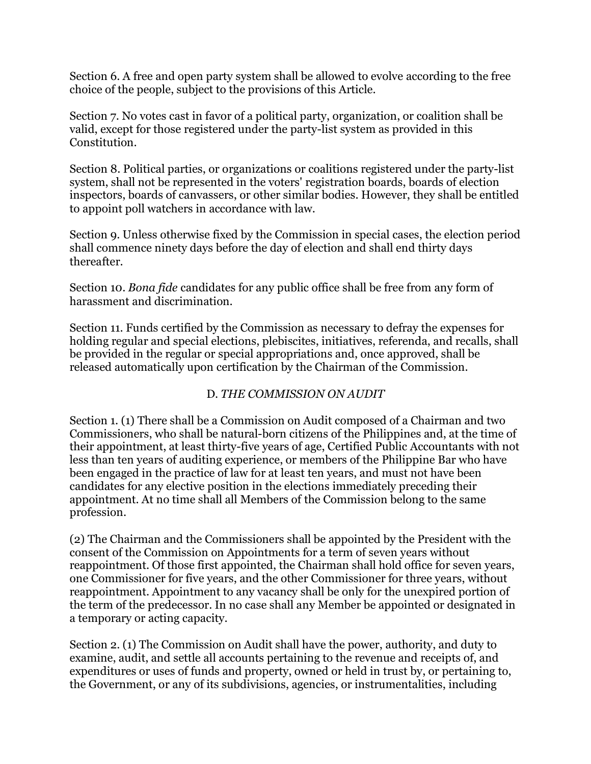Section 6. A free and open party system shall be allowed to evolve according to the free choice of the people, subject to the provisions of this Article.

Section 7. No votes cast in favor of a political party, organization, or coalition shall be valid, except for those registered under the party-list system as provided in this Constitution.

Section 8. Political parties, or organizations or coalitions registered under the party-list system, shall not be represented in the voters' registration boards, boards of election inspectors, boards of canvassers, or other similar bodies. However, they shall be entitled to appoint poll watchers in accordance with law.

Section 9. Unless otherwise fixed by the Commission in special cases, the election period shall commence ninety days before the day of election and shall end thirty days thereafter.

Section 10. *Bona fide* candidates for any public office shall be free from any form of harassment and discrimination.

Section 11. Funds certified by the Commission as necessary to defray the expenses for holding regular and special elections, plebiscites, initiatives, referenda, and recalls, shall be provided in the regular or special appropriations and, once approved, shall be released automatically upon certification by the Chairman of the Commission.

# D. *THE COMMISSION ON AUDIT*

Section 1. (1) There shall be a Commission on Audit composed of a Chairman and two Commissioners, who shall be natural-born citizens of the Philippines and, at the time of their appointment, at least thirty-five years of age, Certified Public Accountants with not less than ten years of auditing experience, or members of the Philippine Bar who have been engaged in the practice of law for at least ten years, and must not have been candidates for any elective position in the elections immediately preceding their appointment. At no time shall all Members of the Commission belong to the same profession.

(2) The Chairman and the Commissioners shall be appointed by the President with the consent of the Commission on Appointments for a term of seven years without reappointment. Of those first appointed, the Chairman shall hold office for seven years, one Commissioner for five years, and the other Commissioner for three years, without reappointment. Appointment to any vacancy shall be only for the unexpired portion of the term of the predecessor. In no case shall any Member be appointed or designated in a temporary or acting capacity.

Section 2. (1) The Commission on Audit shall have the power, authority, and duty to examine, audit, and settle all accounts pertaining to the revenue and receipts of, and expenditures or uses of funds and property, owned or held in trust by, or pertaining to, the Government, or any of its subdivisions, agencies, or instrumentalities, including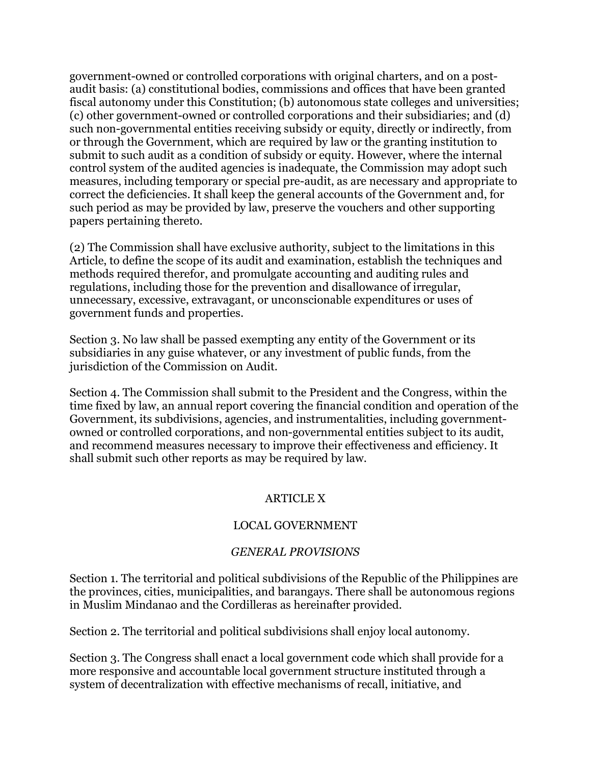government-owned or controlled corporations with original charters, and on a postaudit basis: (a) constitutional bodies, commissions and offices that have been granted fiscal autonomy under this Constitution; (b) autonomous state colleges and universities; (c) other government-owned or controlled corporations and their subsidiaries; and (d) such non-governmental entities receiving subsidy or equity, directly or indirectly, from or through the Government, which are required by law or the granting institution to submit to such audit as a condition of subsidy or equity. However, where the internal control system of the audited agencies is inadequate, the Commission may adopt such measures, including temporary or special pre-audit, as are necessary and appropriate to correct the deficiencies. It shall keep the general accounts of the Government and, for such period as may be provided by law, preserve the vouchers and other supporting papers pertaining thereto.

(2) The Commission shall have exclusive authority, subject to the limitations in this Article, to define the scope of its audit and examination, establish the techniques and methods required therefor, and promulgate accounting and auditing rules and regulations, including those for the prevention and disallowance of irregular, unnecessary, excessive, extravagant, or unconscionable expenditures or uses of government funds and properties.

Section 3. No law shall be passed exempting any entity of the Government or its subsidiaries in any guise whatever, or any investment of public funds, from the jurisdiction of the Commission on Audit.

Section 4. The Commission shall submit to the President and the Congress, within the time fixed by law, an annual report covering the financial condition and operation of the Government, its subdivisions, agencies, and instrumentalities, including governmentowned or controlled corporations, and non-governmental entities subject to its audit, and recommend measures necessary to improve their effectiveness and efficiency. It shall submit such other reports as may be required by law.

### ARTICLE X

### LOCAL GOVERNMENT

### *GENERAL PROVISIONS*

Section 1. The territorial and political subdivisions of the Republic of the Philippines are the provinces, cities, municipalities, and barangays. There shall be autonomous regions in Muslim Mindanao and the Cordilleras as hereinafter provided.

Section 2. The territorial and political subdivisions shall enjoy local autonomy.

Section 3. The Congress shall enact a local government code which shall provide for a more responsive and accountable local government structure instituted through a system of decentralization with effective mechanisms of recall, initiative, and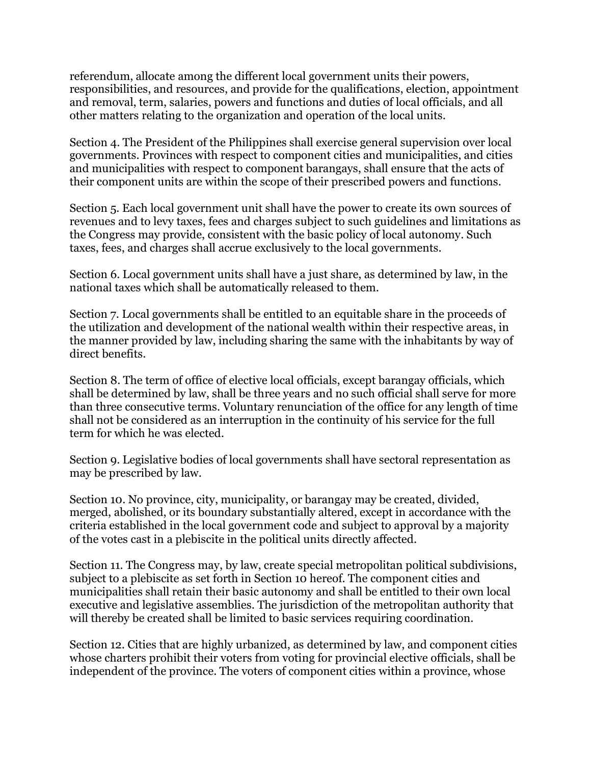referendum, allocate among the different local government units their powers, responsibilities, and resources, and provide for the qualifications, election, appointment and removal, term, salaries, powers and functions and duties of local officials, and all other matters relating to the organization and operation of the local units.

Section 4. The President of the Philippines shall exercise general supervision over local governments. Provinces with respect to component cities and municipalities, and cities and municipalities with respect to component barangays, shall ensure that the acts of their component units are within the scope of their prescribed powers and functions.

Section 5. Each local government unit shall have the power to create its own sources of revenues and to levy taxes, fees and charges subject to such guidelines and limitations as the Congress may provide, consistent with the basic policy of local autonomy. Such taxes, fees, and charges shall accrue exclusively to the local governments.

Section 6. Local government units shall have a just share, as determined by law, in the national taxes which shall be automatically released to them.

Section 7. Local governments shall be entitled to an equitable share in the proceeds of the utilization and development of the national wealth within their respective areas, in the manner provided by law, including sharing the same with the inhabitants by way of direct benefits.

Section 8. The term of office of elective local officials, except barangay officials, which shall be determined by law, shall be three years and no such official shall serve for more than three consecutive terms. Voluntary renunciation of the office for any length of time shall not be considered as an interruption in the continuity of his service for the full term for which he was elected.

Section 9. Legislative bodies of local governments shall have sectoral representation as may be prescribed by law.

Section 10. No province, city, municipality, or barangay may be created, divided, merged, abolished, or its boundary substantially altered, except in accordance with the criteria established in the local government code and subject to approval by a majority of the votes cast in a plebiscite in the political units directly affected.

Section 11. The Congress may, by law, create special metropolitan political subdivisions, subject to a plebiscite as set forth in Section 10 hereof. The component cities and municipalities shall retain their basic autonomy and shall be entitled to their own local executive and legislative assemblies. The jurisdiction of the metropolitan authority that will thereby be created shall be limited to basic services requiring coordination.

Section 12. Cities that are highly urbanized, as determined by law, and component cities whose charters prohibit their voters from voting for provincial elective officials, shall be independent of the province. The voters of component cities within a province, whose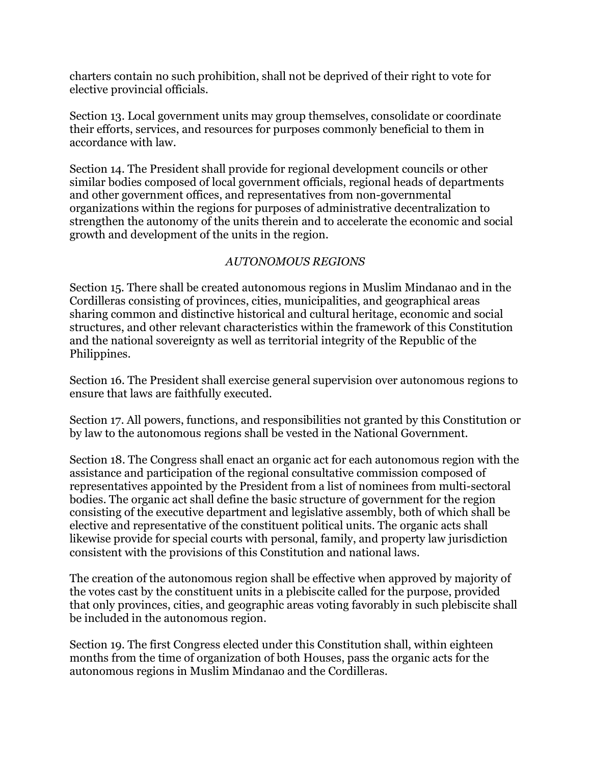charters contain no such prohibition, shall not be deprived of their right to vote for elective provincial officials.

Section 13. Local government units may group themselves, consolidate or coordinate their efforts, services, and resources for purposes commonly beneficial to them in accordance with law.

Section 14. The President shall provide for regional development councils or other similar bodies composed of local government officials, regional heads of departments and other government offices, and representatives from non-governmental organizations within the regions for purposes of administrative decentralization to strengthen the autonomy of the units therein and to accelerate the economic and social growth and development of the units in the region.

## *AUTONOMOUS REGIONS*

Section 15. There shall be created autonomous regions in Muslim Mindanao and in the Cordilleras consisting of provinces, cities, municipalities, and geographical areas sharing common and distinctive historical and cultural heritage, economic and social structures, and other relevant characteristics within the framework of this Constitution and the national sovereignty as well as territorial integrity of the Republic of the Philippines.

Section 16. The President shall exercise general supervision over autonomous regions to ensure that laws are faithfully executed.

Section 17. All powers, functions, and responsibilities not granted by this Constitution or by law to the autonomous regions shall be vested in the National Government.

Section 18. The Congress shall enact an organic act for each autonomous region with the assistance and participation of the regional consultative commission composed of representatives appointed by the President from a list of nominees from multi-sectoral bodies. The organic act shall define the basic structure of government for the region consisting of the executive department and legislative assembly, both of which shall be elective and representative of the constituent political units. The organic acts shall likewise provide for special courts with personal, family, and property law jurisdiction consistent with the provisions of this Constitution and national laws.

The creation of the autonomous region shall be effective when approved by majority of the votes cast by the constituent units in a plebiscite called for the purpose, provided that only provinces, cities, and geographic areas voting favorably in such plebiscite shall be included in the autonomous region.

Section 19. The first Congress elected under this Constitution shall, within eighteen months from the time of organization of both Houses, pass the organic acts for the autonomous regions in Muslim Mindanao and the Cordilleras.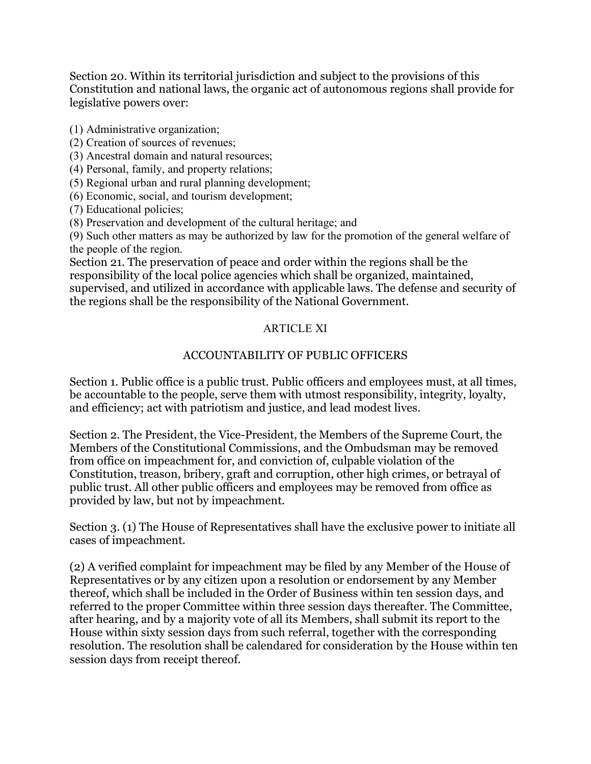Section 20. Within its territorial jurisdiction and subject to the provisions of this Constitution and national laws, the organic act of autonomous regions shall provide for legislative powers over:

(1) Administrative organization;

(2) Creation of sources of revenues;

(3) Ancestral domain and natural resources;

(4) Personal, family, and property relations;

(5) Regional urban and rural planning development;

(6) Economic, social, and tourism development;

(7) Educational policies;

(8) Preservation and development of the cultural heritage; and

(9) Such other matters as may be authorized by law for the promotion of the general welfare of the people of the region.

Section 21. The preservation of peace and order within the regions shall be the responsibility of the local police agencies which shall be organized, maintained, supervised, and utilized in accordance with applicable laws. The defense and security of the regions shall be the responsibility of the National Government.

## ARTICLE XI

## ACCOUNTABILITY OF PUBLIC OFFICERS

Section 1. Public office is a public trust. Public officers and employees must, at all times, be accountable to the people, serve them with utmost responsibility, integrity, loyalty, and efficiency; act with patriotism and justice, and lead modest lives.

Section 2. The President, the Vice-President, the Members of the Supreme Court, the Members of the Constitutional Commissions, and the Ombudsman may be removed from office on impeachment for, and conviction of, culpable violation of the Constitution, treason, bribery, graft and corruption, other high crimes, or betrayal of public trust. All other public officers and employees may be removed from office as provided by law, but not by impeachment.

Section 3. (1) The House of Representatives shall have the exclusive power to initiate all cases of impeachment.

(2) A verified complaint for impeachment may be filed by any Member of the House of Representatives or by any citizen upon a resolution or endorsement by any Member thereof, which shall be included in the Order of Business within ten session days, and referred to the proper Committee within three session days thereafter. The Committee, after hearing, and by a majority vote of all its Members, shall submit its report to the House within sixty session days from such referral, together with the corresponding resolution. The resolution shall be calendared for consideration by the House within ten session days from receipt thereof.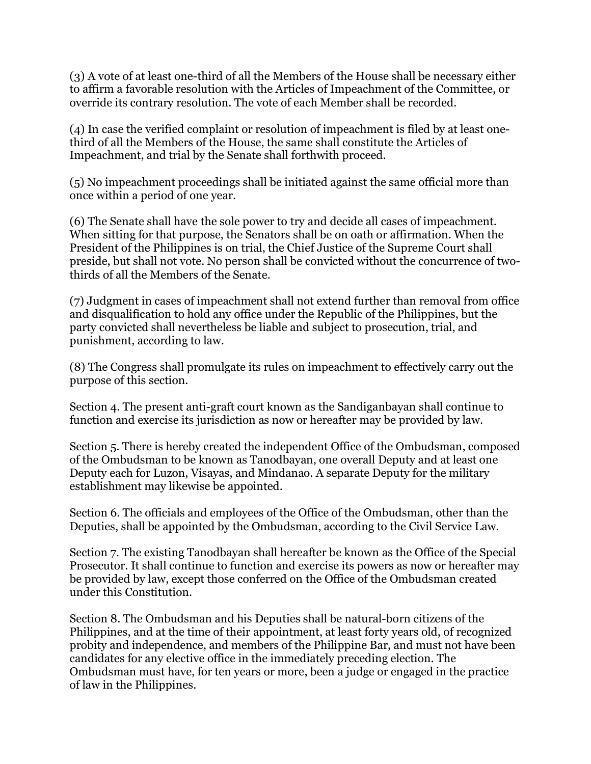(3) A vote of at least one-third of all the Members of the House shall be necessary either to affirm a favorable resolution with the Articles of Impeachment of the Committee, or override its contrary resolution. The vote of each Member shall be recorded.

(4) In case the verified complaint or resolution of impeachment is filed by at least onethird of all the Members of the House, the same shall constitute the Articles of Impeachment, and trial by the Senate shall forthwith proceed.

(5) No impeachment proceedings shall be initiated against the same official more than once within a period of one year.

(6) The Senate shall have the sole power to try and decide all cases of impeachment. When sitting for that purpose, the Senators shall be on oath or affirmation. When the President of the Philippines is on trial, the Chief Justice of the Supreme Court shall preside, but shall not vote. No person shall be convicted without the concurrence of twothirds of all the Members of the Senate.

(7) Judgment in cases of impeachment shall not extend further than removal from office and disqualification to hold any office under the Republic of the Philippines, but the party convicted shall nevertheless be liable and subject to prosecution, trial, and punishment, according to law.

(8) The Congress shall promulgate its rules on impeachment to effectively carry out the purpose of this section.

Section 4. The present anti-graft court known as the Sandiganbayan shall continue to function and exercise its jurisdiction as now or hereafter may be provided by law.

Section 5. There is hereby created the independent Office of the Ombudsman, composed of the Ombudsman to be known as Tanodbayan, one overall Deputy and at least one Deputy each for Luzon, Visayas, and Mindanao. A separate Deputy for the military establishment may likewise be appointed.

Section 6. The officials and employees of the Office of the Ombudsman, other than the Deputies, shall be appointed by the Ombudsman, according to the Civil Service Law.

Section 7. The existing Tanodbayan shall hereafter be known as the Office of the Special Prosecutor. It shall continue to function and exercise its powers as now or hereafter may be provided by law, except those conferred on the Office of the Ombudsman created under this Constitution.

Section 8. The Ombudsman and his Deputies shall be natural-born citizens of the Philippines, and at the time of their appointment, at least forty years old, of recognized probity and independence, and members of the Philippine Bar, and must not have been candidates for any elective office in the immediately preceding election. The Ombudsman must have, for ten years or more, been a judge or engaged in the practice of law in the Philippines.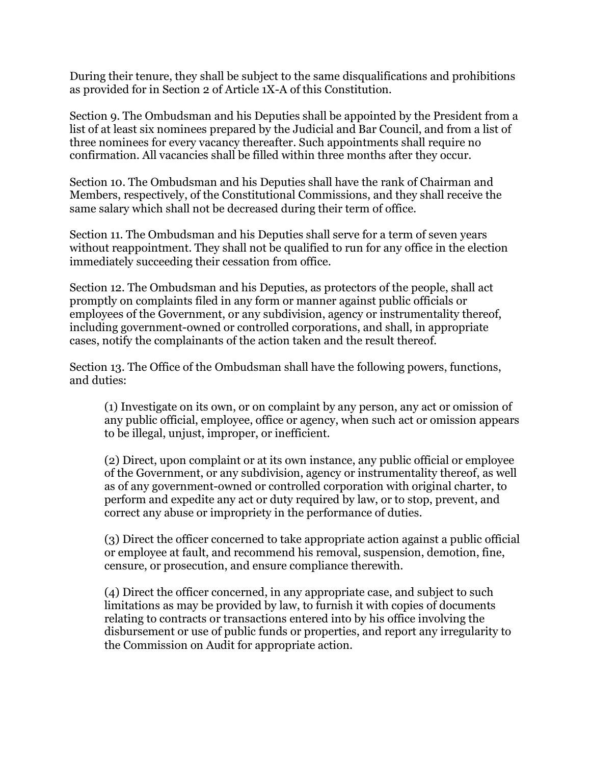During their tenure, they shall be subject to the same disqualifications and prohibitions as provided for in Section 2 of Article 1X-A of this Constitution.

Section 9. The Ombudsman and his Deputies shall be appointed by the President from a list of at least six nominees prepared by the Judicial and Bar Council, and from a list of three nominees for every vacancy thereafter. Such appointments shall require no confirmation. All vacancies shall be filled within three months after they occur.

Section 10. The Ombudsman and his Deputies shall have the rank of Chairman and Members, respectively, of the Constitutional Commissions, and they shall receive the same salary which shall not be decreased during their term of office.

Section 11. The Ombudsman and his Deputies shall serve for a term of seven years without reappointment. They shall not be qualified to run for any office in the election immediately succeeding their cessation from office.

Section 12. The Ombudsman and his Deputies, as protectors of the people, shall act promptly on complaints filed in any form or manner against public officials or employees of the Government, or any subdivision, agency or instrumentality thereof, including government-owned or controlled corporations, and shall, in appropriate cases, notify the complainants of the action taken and the result thereof.

Section 13. The Office of the Ombudsman shall have the following powers, functions, and duties:

(1) Investigate on its own, or on complaint by any person, any act or omission of any public official, employee, office or agency, when such act or omission appears to be illegal, unjust, improper, or inefficient.

(2) Direct, upon complaint or at its own instance, any public official or employee of the Government, or any subdivision, agency or instrumentality thereof, as well as of any government-owned or controlled corporation with original charter, to perform and expedite any act or duty required by law, or to stop, prevent, and correct any abuse or impropriety in the performance of duties.

(3) Direct the officer concerned to take appropriate action against a public official or employee at fault, and recommend his removal, suspension, demotion, fine, censure, or prosecution, and ensure compliance therewith.

(4) Direct the officer concerned, in any appropriate case, and subject to such limitations as may be provided by law, to furnish it with copies of documents relating to contracts or transactions entered into by his office involving the disbursement or use of public funds or properties, and report any irregularity to the Commission on Audit for appropriate action.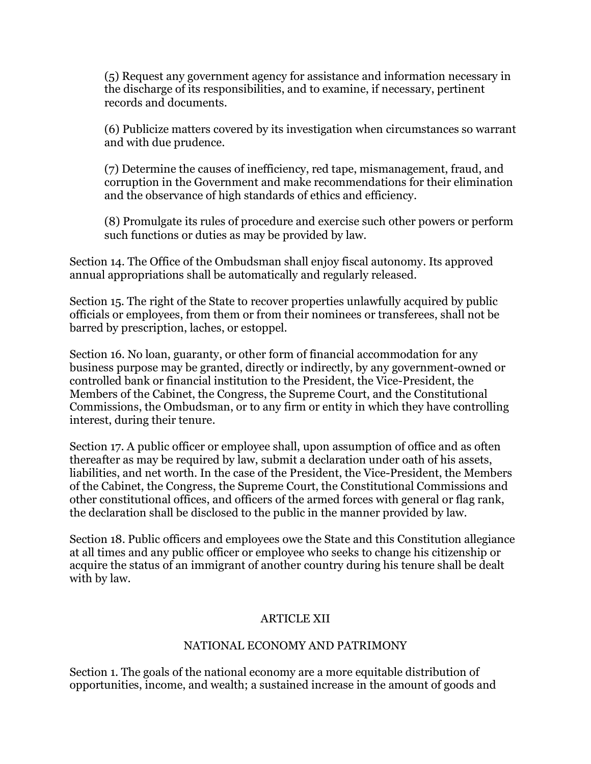(5) Request any government agency for assistance and information necessary in the discharge of its responsibilities, and to examine, if necessary, pertinent records and documents.

(6) Publicize matters covered by its investigation when circumstances so warrant and with due prudence.

(7) Determine the causes of inefficiency, red tape, mismanagement, fraud, and corruption in the Government and make recommendations for their elimination and the observance of high standards of ethics and efficiency.

(8) Promulgate its rules of procedure and exercise such other powers or perform such functions or duties as may be provided by law.

Section 14. The Office of the Ombudsman shall enjoy fiscal autonomy. Its approved annual appropriations shall be automatically and regularly released.

Section 15. The right of the State to recover properties unlawfully acquired by public officials or employees, from them or from their nominees or transferees, shall not be barred by prescription, laches, or estoppel.

Section 16. No loan, guaranty, or other form of financial accommodation for any business purpose may be granted, directly or indirectly, by any government-owned or controlled bank or financial institution to the President, the Vice-President, the Members of the Cabinet, the Congress, the Supreme Court, and the Constitutional Commissions, the Ombudsman, or to any firm or entity in which they have controlling interest, during their tenure.

Section 17. A public officer or employee shall, upon assumption of office and as often thereafter as may be required by law, submit a declaration under oath of his assets, liabilities, and net worth. In the case of the President, the Vice-President, the Members of the Cabinet, the Congress, the Supreme Court, the Constitutional Commissions and other constitutional offices, and officers of the armed forces with general or flag rank, the declaration shall be disclosed to the public in the manner provided by law.

Section 18. Public officers and employees owe the State and this Constitution allegiance at all times and any public officer or employee who seeks to change his citizenship or acquire the status of an immigrant of another country during his tenure shall be dealt with by law.

### ARTICLE XII

### NATIONAL ECONOMY AND PATRIMONY

Section 1. The goals of the national economy are a more equitable distribution of opportunities, income, and wealth; a sustained increase in the amount of goods and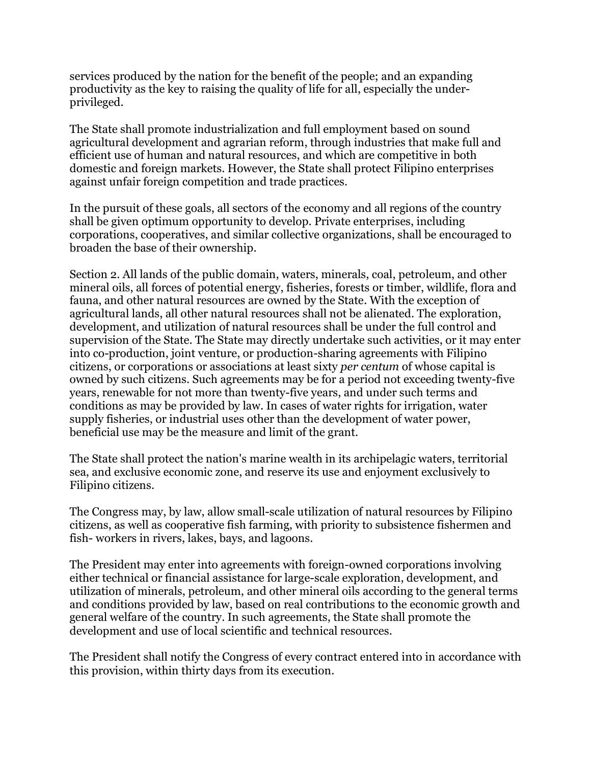services produced by the nation for the benefit of the people; and an expanding productivity as the key to raising the quality of life for all, especially the underprivileged.

The State shall promote industrialization and full employment based on sound agricultural development and agrarian reform, through industries that make full and efficient use of human and natural resources, and which are competitive in both domestic and foreign markets. However, the State shall protect Filipino enterprises against unfair foreign competition and trade practices.

In the pursuit of these goals, all sectors of the economy and all regions of the country shall be given optimum opportunity to develop. Private enterprises, including corporations, cooperatives, and similar collective organizations, shall be encouraged to broaden the base of their ownership.

Section 2. All lands of the public domain, waters, minerals, coal, petroleum, and other mineral oils, all forces of potential energy, fisheries, forests or timber, wildlife, flora and fauna, and other natural resources are owned by the State. With the exception of agricultural lands, all other natural resources shall not be alienated. The exploration, development, and utilization of natural resources shall be under the full control and supervision of the State. The State may directly undertake such activities, or it may enter into co-production, joint venture, or production-sharing agreements with Filipino citizens, or corporations or associations at least sixty *per centum* of whose capital is owned by such citizens. Such agreements may be for a period not exceeding twenty-five years, renewable for not more than twenty-five years, and under such terms and conditions as may be provided by law. In cases of water rights for irrigation, water supply fisheries, or industrial uses other than the development of water power, beneficial use may be the measure and limit of the grant.

The State shall protect the nation's marine wealth in its archipelagic waters, territorial sea, and exclusive economic zone, and reserve its use and enjoyment exclusively to Filipino citizens.

The Congress may, by law, allow small-scale utilization of natural resources by Filipino citizens, as well as cooperative fish farming, with priority to subsistence fishermen and fish- workers in rivers, lakes, bays, and lagoons.

The President may enter into agreements with foreign-owned corporations involving either technical or financial assistance for large-scale exploration, development, and utilization of minerals, petroleum, and other mineral oils according to the general terms and conditions provided by law, based on real contributions to the economic growth and general welfare of the country. In such agreements, the State shall promote the development and use of local scientific and technical resources.

The President shall notify the Congress of every contract entered into in accordance with this provision, within thirty days from its execution.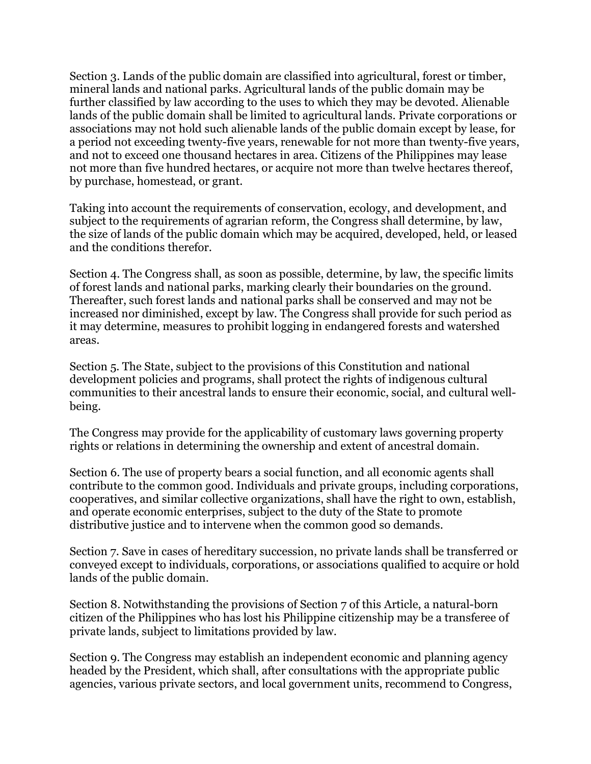Section 3. Lands of the public domain are classified into agricultural, forest or timber, mineral lands and national parks. Agricultural lands of the public domain may be further classified by law according to the uses to which they may be devoted. Alienable lands of the public domain shall be limited to agricultural lands. Private corporations or associations may not hold such alienable lands of the public domain except by lease, for a period not exceeding twenty-five years, renewable for not more than twenty-five years, and not to exceed one thousand hectares in area. Citizens of the Philippines may lease not more than five hundred hectares, or acquire not more than twelve hectares thereof, by purchase, homestead, or grant.

Taking into account the requirements of conservation, ecology, and development, and subject to the requirements of agrarian reform, the Congress shall determine, by law, the size of lands of the public domain which may be acquired, developed, held, or leased and the conditions therefor.

Section 4. The Congress shall, as soon as possible, determine, by law, the specific limits of forest lands and national parks, marking clearly their boundaries on the ground. Thereafter, such forest lands and national parks shall be conserved and may not be increased nor diminished, except by law. The Congress shall provide for such period as it may determine, measures to prohibit logging in endangered forests and watershed areas.

Section 5. The State, subject to the provisions of this Constitution and national development policies and programs, shall protect the rights of indigenous cultural communities to their ancestral lands to ensure their economic, social, and cultural wellbeing.

The Congress may provide for the applicability of customary laws governing property rights or relations in determining the ownership and extent of ancestral domain.

Section 6. The use of property bears a social function, and all economic agents shall contribute to the common good. Individuals and private groups, including corporations, cooperatives, and similar collective organizations, shall have the right to own, establish, and operate economic enterprises, subject to the duty of the State to promote distributive justice and to intervene when the common good so demands.

Section 7. Save in cases of hereditary succession, no private lands shall be transferred or conveyed except to individuals, corporations, or associations qualified to acquire or hold lands of the public domain.

Section 8. Notwithstanding the provisions of Section 7 of this Article, a natural-born citizen of the Philippines who has lost his Philippine citizenship may be a transferee of private lands, subject to limitations provided by law.

Section 9. The Congress may establish an independent economic and planning agency headed by the President, which shall, after consultations with the appropriate public agencies, various private sectors, and local government units, recommend to Congress,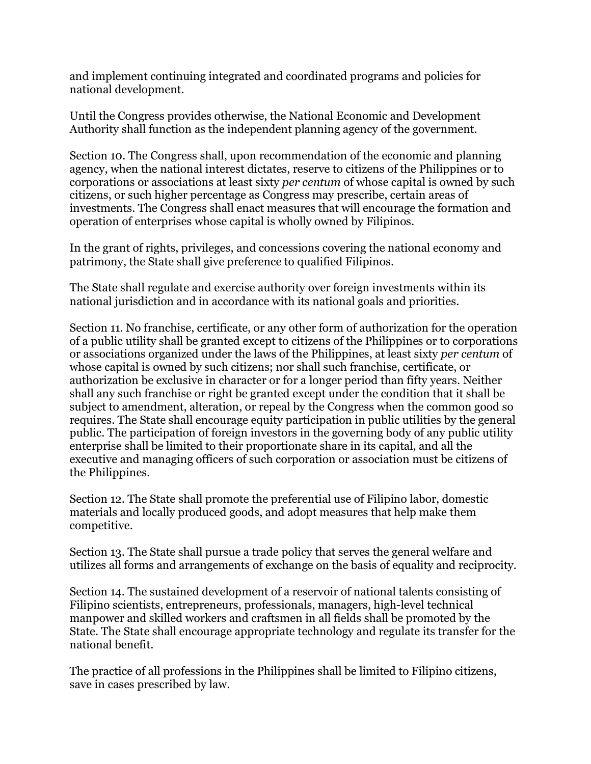and implement continuing integrated and coordinated programs and policies for national development.

Until the Congress provides otherwise, the National Economic and Development Authority shall function as the independent planning agency of the government.

Section 10. The Congress shall, upon recommendation of the economic and planning agency, when the national interest dictates, reserve to citizens of the Philippines or to corporations or associations at least sixty *per centum* of whose capital is owned by such citizens, or such higher percentage as Congress may prescribe, certain areas of investments. The Congress shall enact measures that will encourage the formation and operation of enterprises whose capital is wholly owned by Filipinos.

In the grant of rights, privileges, and concessions covering the national economy and patrimony, the State shall give preference to qualified Filipinos.

The State shall regulate and exercise authority over foreign investments within its national jurisdiction and in accordance with its national goals and priorities.

Section 11. No franchise, certificate, or any other form of authorization for the operation of a public utility shall be granted except to citizens of the Philippines or to corporations or associations organized under the laws of the Philippines, at least sixty *per centum* of whose capital is owned by such citizens; nor shall such franchise, certificate, or authorization be exclusive in character or for a longer period than fifty years. Neither shall any such franchise or right be granted except under the condition that it shall be subject to amendment, alteration, or repeal by the Congress when the common good so requires. The State shall encourage equity participation in public utilities by the general public. The participation of foreign investors in the governing body of any public utility enterprise shall be limited to their proportionate share in its capital, and all the executive and managing officers of such corporation or association must be citizens of the Philippines.

Section 12. The State shall promote the preferential use of Filipino labor, domestic materials and locally produced goods, and adopt measures that help make them competitive.

Section 13. The State shall pursue a trade policy that serves the general welfare and utilizes all forms and arrangements of exchange on the basis of equality and reciprocity.

Section 14. The sustained development of a reservoir of national talents consisting of Filipino scientists, entrepreneurs, professionals, managers, high-level technical manpower and skilled workers and craftsmen in all fields shall be promoted by the State. The State shall encourage appropriate technology and regulate its transfer for the national benefit.

The practice of all professions in the Philippines shall be limited to Filipino citizens, save in cases prescribed by law.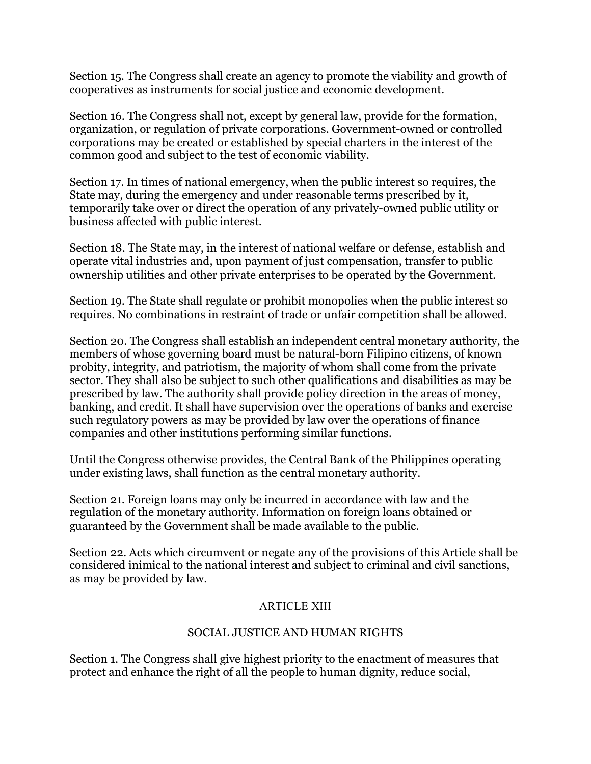Section 15. The Congress shall create an agency to promote the viability and growth of cooperatives as instruments for social justice and economic development.

Section 16. The Congress shall not, except by general law, provide for the formation, organization, or regulation of private corporations. Government-owned or controlled corporations may be created or established by special charters in the interest of the common good and subject to the test of economic viability.

Section 17. In times of national emergency, when the public interest so requires, the State may, during the emergency and under reasonable terms prescribed by it, temporarily take over or direct the operation of any privately-owned public utility or business affected with public interest.

Section 18. The State may, in the interest of national welfare or defense, establish and operate vital industries and, upon payment of just compensation, transfer to public ownership utilities and other private enterprises to be operated by the Government.

Section 19. The State shall regulate or prohibit monopolies when the public interest so requires. No combinations in restraint of trade or unfair competition shall be allowed.

Section 20. The Congress shall establish an independent central monetary authority, the members of whose governing board must be natural-born Filipino citizens, of known probity, integrity, and patriotism, the majority of whom shall come from the private sector. They shall also be subject to such other qualifications and disabilities as may be prescribed by law. The authority shall provide policy direction in the areas of money, banking, and credit. It shall have supervision over the operations of banks and exercise such regulatory powers as may be provided by law over the operations of finance companies and other institutions performing similar functions.

Until the Congress otherwise provides, the Central Bank of the Philippines operating under existing laws, shall function as the central monetary authority.

Section 21. Foreign loans may only be incurred in accordance with law and the regulation of the monetary authority. Information on foreign loans obtained or guaranteed by the Government shall be made available to the public.

Section 22. Acts which circumvent or negate any of the provisions of this Article shall be considered inimical to the national interest and subject to criminal and civil sanctions, as may be provided by law.

### ARTICLE XIII

### SOCIAL JUSTICE AND HUMAN RIGHTS

Section 1. The Congress shall give highest priority to the enactment of measures that protect and enhance the right of all the people to human dignity, reduce social,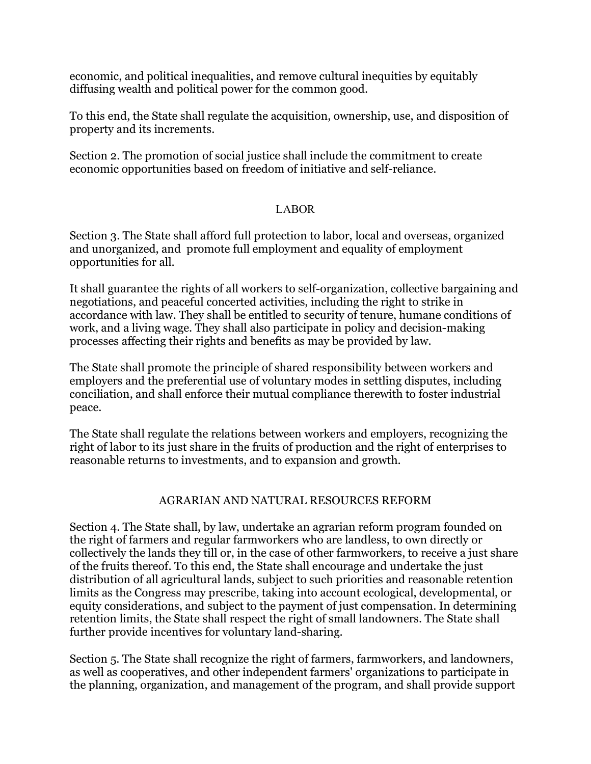economic, and political inequalities, and remove cultural inequities by equitably diffusing wealth and political power for the common good.

To this end, the State shall regulate the acquisition, ownership, use, and disposition of property and its increments.

Section 2. The promotion of social justice shall include the commitment to create economic opportunities based on freedom of initiative and self-reliance.

## LABOR

Section 3. The State shall afford full protection to labor, local and overseas, organized and unorganized, and promote full employment and equality of employment opportunities for all.

It shall guarantee the rights of all workers to self-organization, collective bargaining and negotiations, and peaceful concerted activities, including the right to strike in accordance with law. They shall be entitled to security of tenure, humane conditions of work, and a living wage. They shall also participate in policy and decision-making processes affecting their rights and benefits as may be provided by law.

The State shall promote the principle of shared responsibility between workers and employers and the preferential use of voluntary modes in settling disputes, including conciliation, and shall enforce their mutual compliance therewith to foster industrial peace.

The State shall regulate the relations between workers and employers, recognizing the right of labor to its just share in the fruits of production and the right of enterprises to reasonable returns to investments, and to expansion and growth.

# AGRARIAN AND NATURAL RESOURCES REFORM

Section 4. The State shall, by law, undertake an agrarian reform program founded on the right of farmers and regular farmworkers who are landless, to own directly or collectively the lands they till or, in the case of other farmworkers, to receive a just share of the fruits thereof. To this end, the State shall encourage and undertake the just distribution of all agricultural lands, subject to such priorities and reasonable retention limits as the Congress may prescribe, taking into account ecological, developmental, or equity considerations, and subject to the payment of just compensation. In determining retention limits, the State shall respect the right of small landowners. The State shall further provide incentives for voluntary land-sharing.

Section 5. The State shall recognize the right of farmers, farmworkers, and landowners, as well as cooperatives, and other independent farmers' organizations to participate in the planning, organization, and management of the program, and shall provide support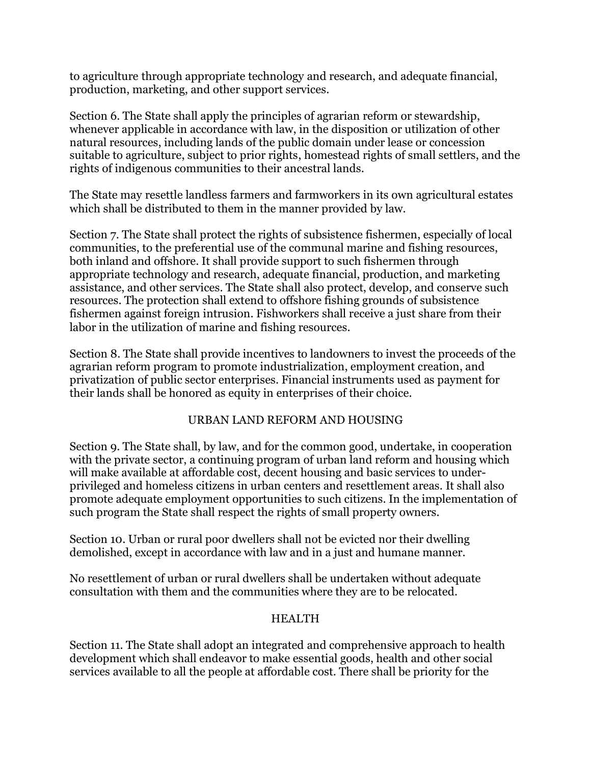to agriculture through appropriate technology and research, and adequate financial, production, marketing, and other support services.

Section 6. The State shall apply the principles of agrarian reform or stewardship, whenever applicable in accordance with law, in the disposition or utilization of other natural resources, including lands of the public domain under lease or concession suitable to agriculture, subject to prior rights, homestead rights of small settlers, and the rights of indigenous communities to their ancestral lands.

The State may resettle landless farmers and farmworkers in its own agricultural estates which shall be distributed to them in the manner provided by law.

Section 7. The State shall protect the rights of subsistence fishermen, especially of local communities, to the preferential use of the communal marine and fishing resources, both inland and offshore. It shall provide support to such fishermen through appropriate technology and research, adequate financial, production, and marketing assistance, and other services. The State shall also protect, develop, and conserve such resources. The protection shall extend to offshore fishing grounds of subsistence fishermen against foreign intrusion. Fishworkers shall receive a just share from their labor in the utilization of marine and fishing resources.

Section 8. The State shall provide incentives to landowners to invest the proceeds of the agrarian reform program to promote industrialization, employment creation, and privatization of public sector enterprises. Financial instruments used as payment for their lands shall be honored as equity in enterprises of their choice.

# URBAN LAND REFORM AND HOUSING

Section 9. The State shall, by law, and for the common good, undertake, in cooperation with the private sector, a continuing program of urban land reform and housing which will make available at affordable cost, decent housing and basic services to underprivileged and homeless citizens in urban centers and resettlement areas. It shall also promote adequate employment opportunities to such citizens. In the implementation of such program the State shall respect the rights of small property owners.

Section 10. Urban or rural poor dwellers shall not be evicted nor their dwelling demolished, except in accordance with law and in a just and humane manner.

No resettlement of urban or rural dwellers shall be undertaken without adequate consultation with them and the communities where they are to be relocated.

### HEALTH

Section 11. The State shall adopt an integrated and comprehensive approach to health development which shall endeavor to make essential goods, health and other social services available to all the people at affordable cost. There shall be priority for the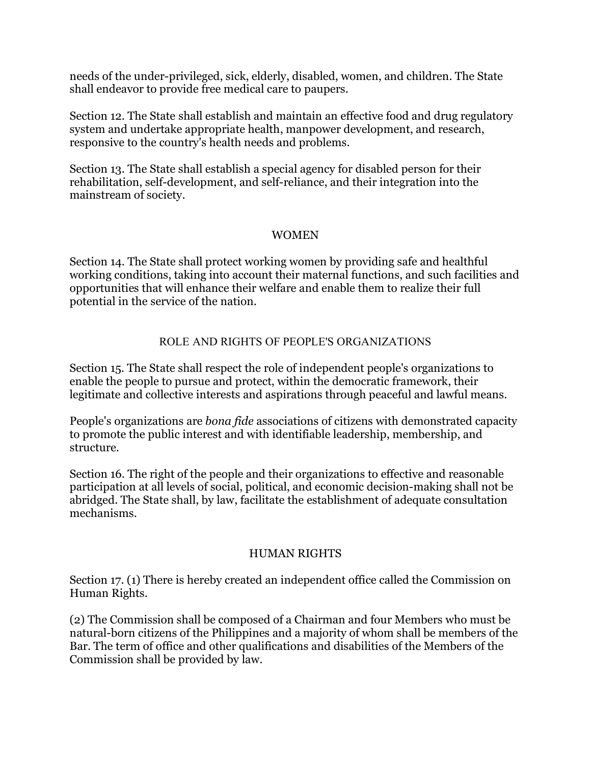needs of the under-privileged, sick, elderly, disabled, women, and children. The State shall endeavor to provide free medical care to paupers.

Section 12. The State shall establish and maintain an effective food and drug regulatory system and undertake appropriate health, manpower development, and research, responsive to the country's health needs and problems.

Section 13. The State shall establish a special agency for disabled person for their rehabilitation, self-development, and self-reliance, and their integration into the mainstream of society.

## WOMEN

Section 14. The State shall protect working women by providing safe and healthful working conditions, taking into account their maternal functions, and such facilities and opportunities that will enhance their welfare and enable them to realize their full potential in the service of the nation.

# ROLE AND RIGHTS OF PEOPLE'S ORGANIZATIONS

Section 15. The State shall respect the role of independent people's organizations to enable the people to pursue and protect, within the democratic framework, their legitimate and collective interests and aspirations through peaceful and lawful means.

People's organizations are *bona fide* associations of citizens with demonstrated capacity to promote the public interest and with identifiable leadership, membership, and structure.

Section 16. The right of the people and their organizations to effective and reasonable participation at all levels of social, political, and economic decision-making shall not be abridged. The State shall, by law, facilitate the establishment of adequate consultation mechanisms.

# HUMAN RIGHTS

Section 17. (1) There is hereby created an independent office called the Commission on Human Rights.

(2) The Commission shall be composed of a Chairman and four Members who must be natural-born citizens of the Philippines and a majority of whom shall be members of the Bar. The term of office and other qualifications and disabilities of the Members of the Commission shall be provided by law.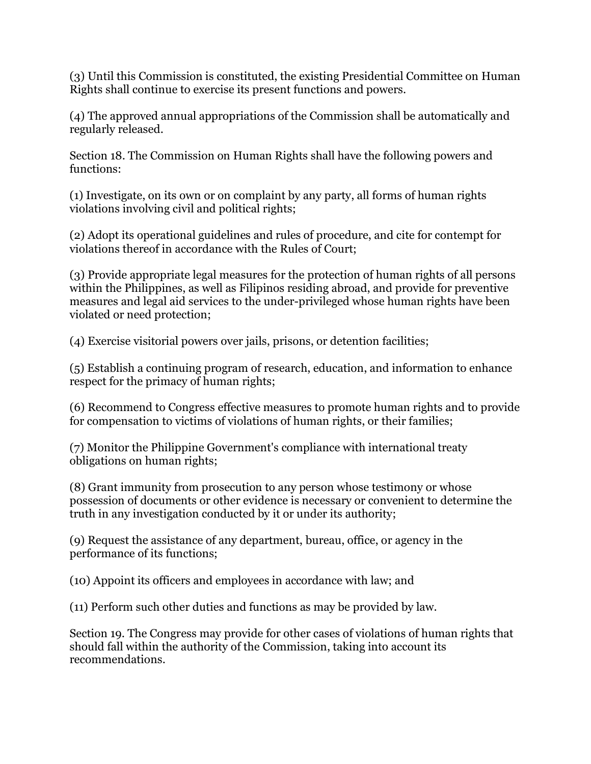(3) Until this Commission is constituted, the existing Presidential Committee on Human Rights shall continue to exercise its present functions and powers.

(4) The approved annual appropriations of the Commission shall be automatically and regularly released.

Section 18. The Commission on Human Rights shall have the following powers and functions:

(1) Investigate, on its own or on complaint by any party, all forms of human rights violations involving civil and political rights;

(2) Adopt its operational guidelines and rules of procedure, and cite for contempt for violations thereof in accordance with the Rules of Court;

(3) Provide appropriate legal measures for the protection of human rights of all persons within the Philippines, as well as Filipinos residing abroad, and provide for preventive measures and legal aid services to the under-privileged whose human rights have been violated or need protection;

(4) Exercise visitorial powers over jails, prisons, or detention facilities;

(5) Establish a continuing program of research, education, and information to enhance respect for the primacy of human rights;

(6) Recommend to Congress effective measures to promote human rights and to provide for compensation to victims of violations of human rights, or their families;

(7) Monitor the Philippine Government's compliance with international treaty obligations on human rights;

(8) Grant immunity from prosecution to any person whose testimony or whose possession of documents or other evidence is necessary or convenient to determine the truth in any investigation conducted by it or under its authority;

(9) Request the assistance of any department, bureau, office, or agency in the performance of its functions;

(10) Appoint its officers and employees in accordance with law; and

(11) Perform such other duties and functions as may be provided by law.

Section 19. The Congress may provide for other cases of violations of human rights that should fall within the authority of the Commission, taking into account its recommendations.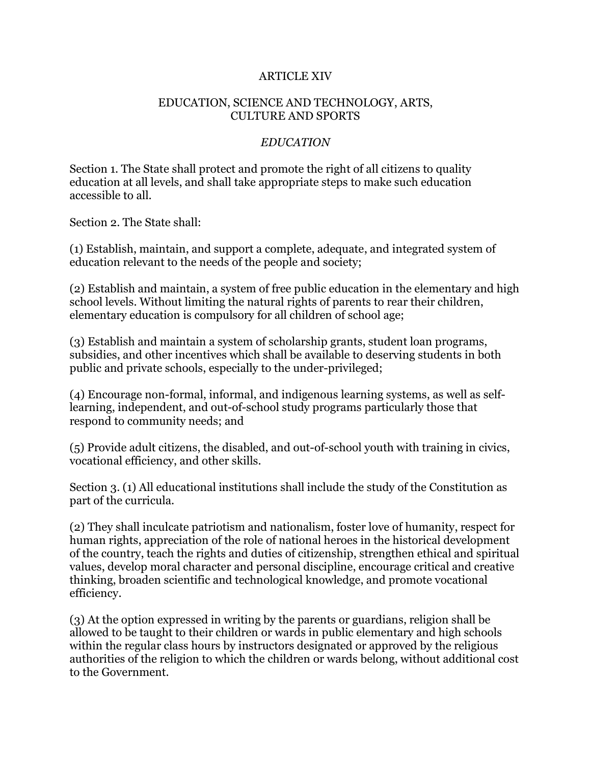#### ARTICLE XIV

#### EDUCATION, SCIENCE AND TECHNOLOGY, ARTS, CULTURE AND SPORTS

#### *EDUCATION*

Section 1. The State shall protect and promote the right of all citizens to quality education at all levels, and shall take appropriate steps to make such education accessible to all.

Section 2. The State shall:

(1) Establish, maintain, and support a complete, adequate, and integrated system of education relevant to the needs of the people and society;

(2) Establish and maintain, a system of free public education in the elementary and high school levels. Without limiting the natural rights of parents to rear their children, elementary education is compulsory for all children of school age;

(3) Establish and maintain a system of scholarship grants, student loan programs, subsidies, and other incentives which shall be available to deserving students in both public and private schools, especially to the under-privileged;

(4) Encourage non-formal, informal, and indigenous learning systems, as well as selflearning, independent, and out-of-school study programs particularly those that respond to community needs; and

(5) Provide adult citizens, the disabled, and out-of-school youth with training in civics, vocational efficiency, and other skills.

Section 3. (1) All educational institutions shall include the study of the Constitution as part of the curricula.

(2) They shall inculcate patriotism and nationalism, foster love of humanity, respect for human rights, appreciation of the role of national heroes in the historical development of the country, teach the rights and duties of citizenship, strengthen ethical and spiritual values, develop moral character and personal discipline, encourage critical and creative thinking, broaden scientific and technological knowledge, and promote vocational efficiency.

(3) At the option expressed in writing by the parents or guardians, religion shall be allowed to be taught to their children or wards in public elementary and high schools within the regular class hours by instructors designated or approved by the religious authorities of the religion to which the children or wards belong, without additional cost to the Government.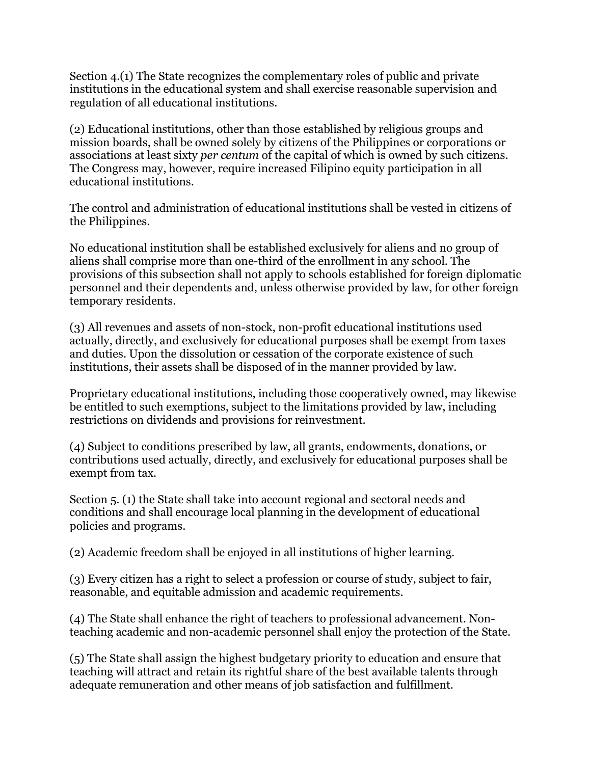Section 4.(1) The State recognizes the complementary roles of public and private institutions in the educational system and shall exercise reasonable supervision and regulation of all educational institutions.

(2) Educational institutions, other than those established by religious groups and mission boards, shall be owned solely by citizens of the Philippines or corporations or associations at least sixty *per centum* of the capital of which is owned by such citizens. The Congress may, however, require increased Filipino equity participation in all educational institutions.

The control and administration of educational institutions shall be vested in citizens of the Philippines.

No educational institution shall be established exclusively for aliens and no group of aliens shall comprise more than one-third of the enrollment in any school. The provisions of this subsection shall not apply to schools established for foreign diplomatic personnel and their dependents and, unless otherwise provided by law, for other foreign temporary residents.

(3) All revenues and assets of non-stock, non-profit educational institutions used actually, directly, and exclusively for educational purposes shall be exempt from taxes and duties. Upon the dissolution or cessation of the corporate existence of such institutions, their assets shall be disposed of in the manner provided by law.

Proprietary educational institutions, including those cooperatively owned, may likewise be entitled to such exemptions, subject to the limitations provided by law, including restrictions on dividends and provisions for reinvestment.

(4) Subject to conditions prescribed by law, all grants, endowments, donations, or contributions used actually, directly, and exclusively for educational purposes shall be exempt from tax.

Section 5. (1) the State shall take into account regional and sectoral needs and conditions and shall encourage local planning in the development of educational policies and programs.

(2) Academic freedom shall be enjoyed in all institutions of higher learning.

(3) Every citizen has a right to select a profession or course of study, subject to fair, reasonable, and equitable admission and academic requirements.

(4) The State shall enhance the right of teachers to professional advancement. Nonteaching academic and non-academic personnel shall enjoy the protection of the State.

(5) The State shall assign the highest budgetary priority to education and ensure that teaching will attract and retain its rightful share of the best available talents through adequate remuneration and other means of job satisfaction and fulfillment.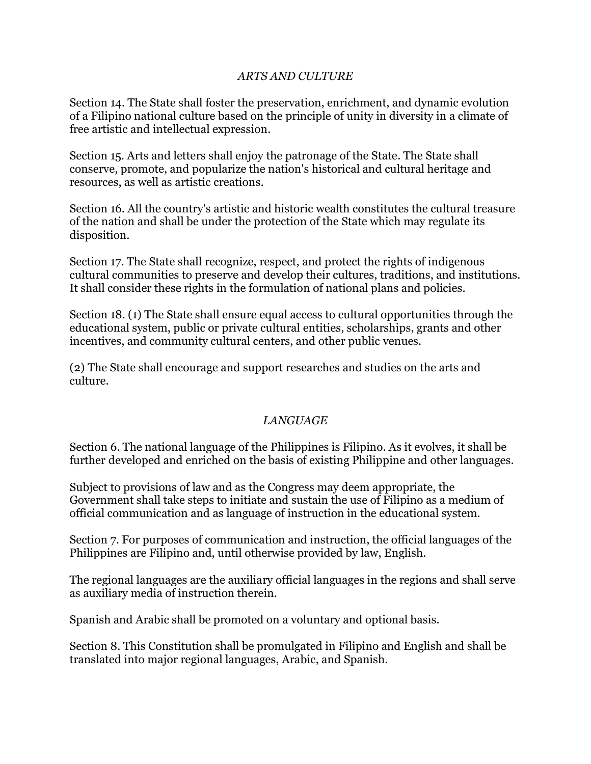## *ARTS AND CULTURE*

Section 14. The State shall foster the preservation, enrichment, and dynamic evolution of a Filipino national culture based on the principle of unity in diversity in a climate of free artistic and intellectual expression.

Section 15. Arts and letters shall enjoy the patronage of the State. The State shall conserve, promote, and popularize the nation's historical and cultural heritage and resources, as well as artistic creations.

Section 16. All the country's artistic and historic wealth constitutes the cultural treasure of the nation and shall be under the protection of the State which may regulate its disposition.

Section 17. The State shall recognize, respect, and protect the rights of indigenous cultural communities to preserve and develop their cultures, traditions, and institutions. It shall consider these rights in the formulation of national plans and policies.

Section 18. (1) The State shall ensure equal access to cultural opportunities through the educational system, public or private cultural entities, scholarships, grants and other incentives, and community cultural centers, and other public venues.

(2) The State shall encourage and support researches and studies on the arts and culture.

# *LANGUAGE*

Section 6. The national language of the Philippines is Filipino. As it evolves, it shall be further developed and enriched on the basis of existing Philippine and other languages.

Subject to provisions of law and as the Congress may deem appropriate, the Government shall take steps to initiate and sustain the use of Filipino as a medium of official communication and as language of instruction in the educational system.

Section 7. For purposes of communication and instruction, the official languages of the Philippines are Filipino and, until otherwise provided by law, English.

The regional languages are the auxiliary official languages in the regions and shall serve as auxiliary media of instruction therein.

Spanish and Arabic shall be promoted on a voluntary and optional basis.

Section 8. This Constitution shall be promulgated in Filipino and English and shall be translated into major regional languages, Arabic, and Spanish.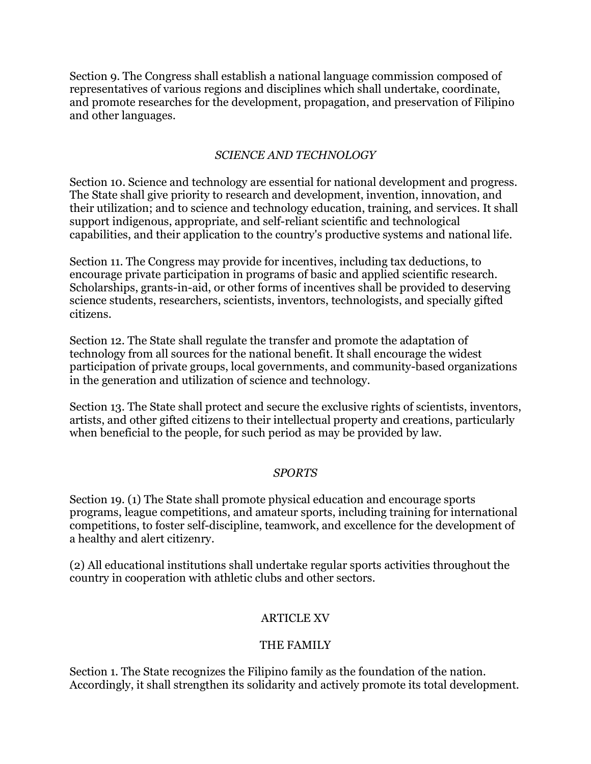Section 9. The Congress shall establish a national language commission composed of representatives of various regions and disciplines which shall undertake, coordinate, and promote researches for the development, propagation, and preservation of Filipino and other languages.

### *SCIENCE AND TECHNOLOGY*

Section 10. Science and technology are essential for national development and progress. The State shall give priority to research and development, invention, innovation, and their utilization; and to science and technology education, training, and services. It shall support indigenous, appropriate, and self-reliant scientific and technological capabilities, and their application to the country's productive systems and national life.

Section 11. The Congress may provide for incentives, including tax deductions, to encourage private participation in programs of basic and applied scientific research. Scholarships, grants-in-aid, or other forms of incentives shall be provided to deserving science students, researchers, scientists, inventors, technologists, and specially gifted citizens.

Section 12. The State shall regulate the transfer and promote the adaptation of technology from all sources for the national benefit. It shall encourage the widest participation of private groups, local governments, and community-based organizations in the generation and utilization of science and technology.

Section 13. The State shall protect and secure the exclusive rights of scientists, inventors, artists, and other gifted citizens to their intellectual property and creations, particularly when beneficial to the people, for such period as may be provided by law.

### *SPORTS*

Section 19. (1) The State shall promote physical education and encourage sports programs, league competitions, and amateur sports, including training for international competitions, to foster self-discipline, teamwork, and excellence for the development of a healthy and alert citizenry.

(2) All educational institutions shall undertake regular sports activities throughout the country in cooperation with athletic clubs and other sectors.

# ARTICLE XV

### THE FAMILY

Section 1. The State recognizes the Filipino family as the foundation of the nation. Accordingly, it shall strengthen its solidarity and actively promote its total development.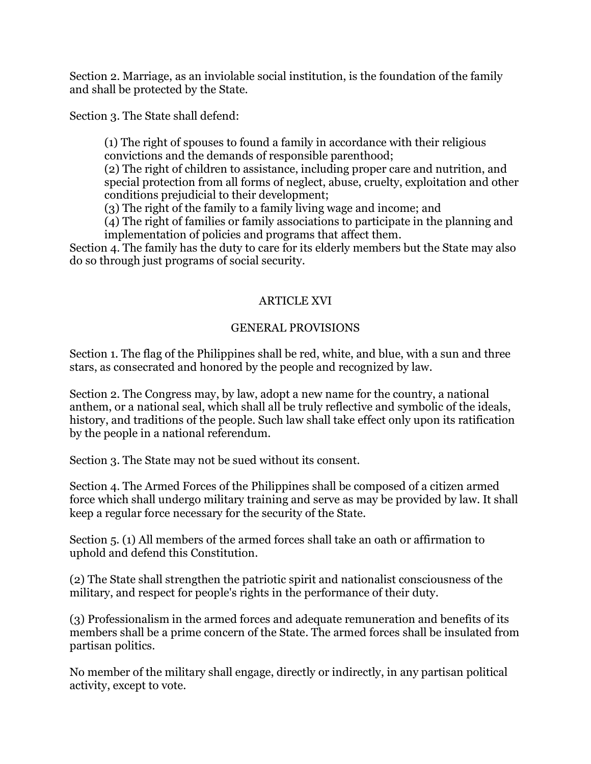Section 2. Marriage, as an inviolable social institution, is the foundation of the family and shall be protected by the State.

Section 3. The State shall defend:

(1) The right of spouses to found a family in accordance with their religious convictions and the demands of responsible parenthood;

(2) The right of children to assistance, including proper care and nutrition, and special protection from all forms of neglect, abuse, cruelty, exploitation and other conditions prejudicial to their development;

(3) The right of the family to a family living wage and income; and

(4) The right of families or family associations to participate in the planning and implementation of policies and programs that affect them.

Section 4. The family has the duty to care for its elderly members but the State may also do so through just programs of social security.

## ARTICLE XVI

## GENERAL PROVISIONS

Section 1. The flag of the Philippines shall be red, white, and blue, with a sun and three stars, as consecrated and honored by the people and recognized by law.

Section 2. The Congress may, by law, adopt a new name for the country, a national anthem, or a national seal, which shall all be truly reflective and symbolic of the ideals, history, and traditions of the people. Such law shall take effect only upon its ratification by the people in a national referendum.

Section 3. The State may not be sued without its consent.

Section 4. The Armed Forces of the Philippines shall be composed of a citizen armed force which shall undergo military training and serve as may be provided by law. It shall keep a regular force necessary for the security of the State.

Section 5. (1) All members of the armed forces shall take an oath or affirmation to uphold and defend this Constitution.

(2) The State shall strengthen the patriotic spirit and nationalist consciousness of the military, and respect for people's rights in the performance of their duty.

(3) Professionalism in the armed forces and adequate remuneration and benefits of its members shall be a prime concern of the State. The armed forces shall be insulated from partisan politics.

No member of the military shall engage, directly or indirectly, in any partisan political activity, except to vote.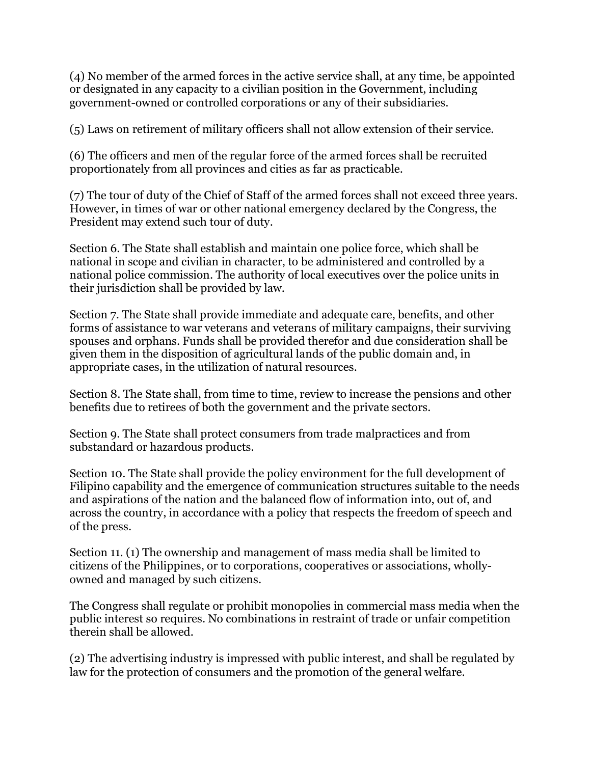(4) No member of the armed forces in the active service shall, at any time, be appointed or designated in any capacity to a civilian position in the Government, including government-owned or controlled corporations or any of their subsidiaries.

(5) Laws on retirement of military officers shall not allow extension of their service.

(6) The officers and men of the regular force of the armed forces shall be recruited proportionately from all provinces and cities as far as practicable.

(7) The tour of duty of the Chief of Staff of the armed forces shall not exceed three years. However, in times of war or other national emergency declared by the Congress, the President may extend such tour of duty.

Section 6. The State shall establish and maintain one police force, which shall be national in scope and civilian in character, to be administered and controlled by a national police commission. The authority of local executives over the police units in their jurisdiction shall be provided by law.

Section 7. The State shall provide immediate and adequate care, benefits, and other forms of assistance to war veterans and veterans of military campaigns, their surviving spouses and orphans. Funds shall be provided therefor and due consideration shall be given them in the disposition of agricultural lands of the public domain and, in appropriate cases, in the utilization of natural resources.

Section 8. The State shall, from time to time, review to increase the pensions and other benefits due to retirees of both the government and the private sectors.

Section 9. The State shall protect consumers from trade malpractices and from substandard or hazardous products.

Section 10. The State shall provide the policy environment for the full development of Filipino capability and the emergence of communication structures suitable to the needs and aspirations of the nation and the balanced flow of information into, out of, and across the country, in accordance with a policy that respects the freedom of speech and of the press.

Section 11. (1) The ownership and management of mass media shall be limited to citizens of the Philippines, or to corporations, cooperatives or associations, whollyowned and managed by such citizens.

The Congress shall regulate or prohibit monopolies in commercial mass media when the public interest so requires. No combinations in restraint of trade or unfair competition therein shall be allowed.

(2) The advertising industry is impressed with public interest, and shall be regulated by law for the protection of consumers and the promotion of the general welfare.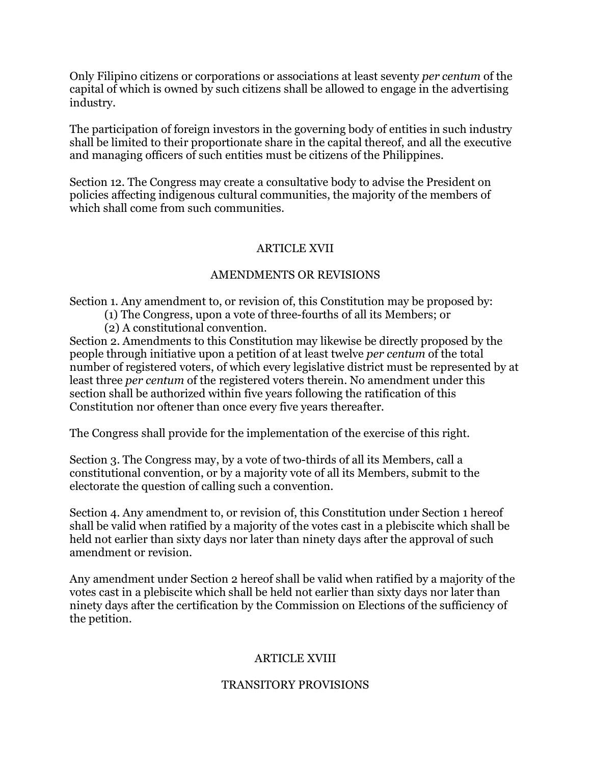Only Filipino citizens or corporations or associations at least seventy *per centum* of the capital of which is owned by such citizens shall be allowed to engage in the advertising industry.

The participation of foreign investors in the governing body of entities in such industry shall be limited to their proportionate share in the capital thereof, and all the executive and managing officers of such entities must be citizens of the Philippines.

Section 12. The Congress may create a consultative body to advise the President on policies affecting indigenous cultural communities, the majority of the members of which shall come from such communities.

### ARTICLE XVII

## AMENDMENTS OR REVISIONS

Section 1. Any amendment to, or revision of, this Constitution may be proposed by:

- (1) The Congress, upon a vote of three-fourths of all its Members; or
	- (2) A constitutional convention.

Section 2. Amendments to this Constitution may likewise be directly proposed by the people through initiative upon a petition of at least twelve *per centum* of the total number of registered voters, of which every legislative district must be represented by at least three *per centum* of the registered voters therein. No amendment under this section shall be authorized within five years following the ratification of this Constitution nor oftener than once every five years thereafter.

The Congress shall provide for the implementation of the exercise of this right.

Section 3. The Congress may, by a vote of two-thirds of all its Members, call a constitutional convention, or by a majority vote of all its Members, submit to the electorate the question of calling such a convention.

Section 4. Any amendment to, or revision of, this Constitution under Section 1 hereof shall be valid when ratified by a majority of the votes cast in a plebiscite which shall be held not earlier than sixty days nor later than ninety days after the approval of such amendment or revision.

Any amendment under Section 2 hereof shall be valid when ratified by a majority of the votes cast in a plebiscite which shall be held not earlier than sixty days nor later than ninety days after the certification by the Commission on Elections of the sufficiency of the petition.

# ARTICLE XVIII

### TRANSITORY PROVISIONS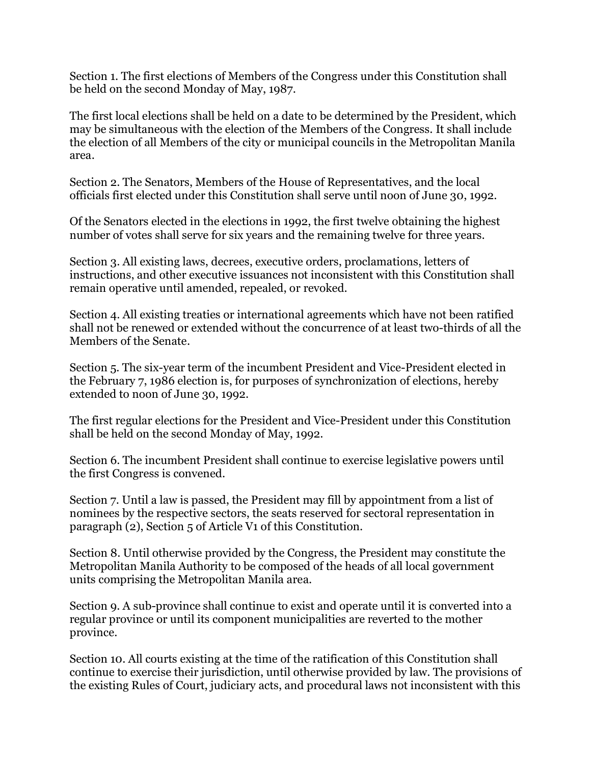Section 1. The first elections of Members of the Congress under this Constitution shall be held on the second Monday of May, 1987.

The first local elections shall be held on a date to be determined by the President, which may be simultaneous with the election of the Members of the Congress. It shall include the election of all Members of the city or municipal councils in the Metropolitan Manila area.

Section 2. The Senators, Members of the House of Representatives, and the local officials first elected under this Constitution shall serve until noon of June 30, 1992.

Of the Senators elected in the elections in 1992, the first twelve obtaining the highest number of votes shall serve for six years and the remaining twelve for three years.

Section 3. All existing laws, decrees, executive orders, proclamations, letters of instructions, and other executive issuances not inconsistent with this Constitution shall remain operative until amended, repealed, or revoked.

Section 4. All existing treaties or international agreements which have not been ratified shall not be renewed or extended without the concurrence of at least two-thirds of all the Members of the Senate.

Section 5. The six-year term of the incumbent President and Vice-President elected in the February 7, 1986 election is, for purposes of synchronization of elections, hereby extended to noon of June 30, 1992.

The first regular elections for the President and Vice-President under this Constitution shall be held on the second Monday of May, 1992.

Section 6. The incumbent President shall continue to exercise legislative powers until the first Congress is convened.

Section 7. Until a law is passed, the President may fill by appointment from a list of nominees by the respective sectors, the seats reserved for sectoral representation in paragraph (2), Section 5 of Article V1 of this Constitution.

Section 8. Until otherwise provided by the Congress, the President may constitute the Metropolitan Manila Authority to be composed of the heads of all local government units comprising the Metropolitan Manila area.

Section 9. A sub-province shall continue to exist and operate until it is converted into a regular province or until its component municipalities are reverted to the mother province.

Section 10. All courts existing at the time of the ratification of this Constitution shall continue to exercise their jurisdiction, until otherwise provided by law. The provisions of the existing Rules of Court, judiciary acts, and procedural laws not inconsistent with this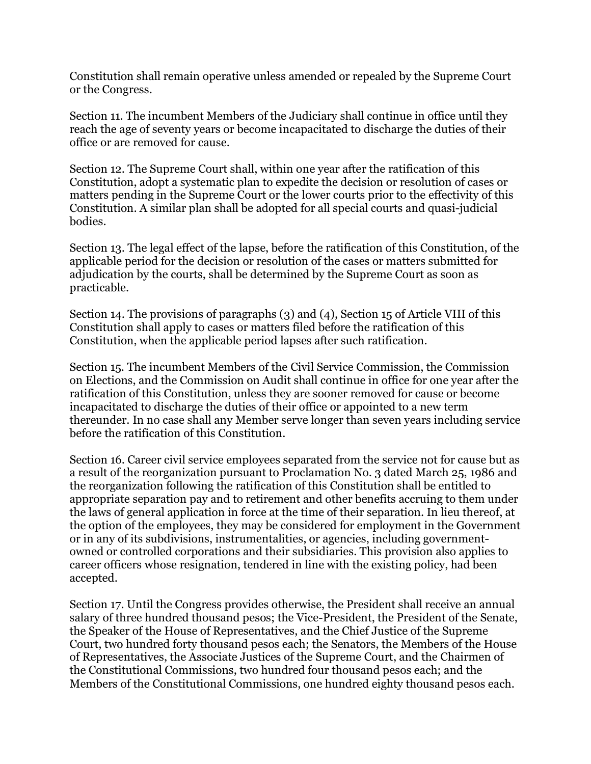Constitution shall remain operative unless amended or repealed by the Supreme Court or the Congress.

Section 11. The incumbent Members of the Judiciary shall continue in office until they reach the age of seventy years or become incapacitated to discharge the duties of their office or are removed for cause.

Section 12. The Supreme Court shall, within one year after the ratification of this Constitution, adopt a systematic plan to expedite the decision or resolution of cases or matters pending in the Supreme Court or the lower courts prior to the effectivity of this Constitution. A similar plan shall be adopted for all special courts and quasi-judicial bodies.

Section 13. The legal effect of the lapse, before the ratification of this Constitution, of the applicable period for the decision or resolution of the cases or matters submitted for adjudication by the courts, shall be determined by the Supreme Court as soon as practicable.

Section 14. The provisions of paragraphs (3) and (4), Section 15 of Article VIII of this Constitution shall apply to cases or matters filed before the ratification of this Constitution, when the applicable period lapses after such ratification.

Section 15. The incumbent Members of the Civil Service Commission, the Commission on Elections, and the Commission on Audit shall continue in office for one year after the ratification of this Constitution, unless they are sooner removed for cause or become incapacitated to discharge the duties of their office or appointed to a new term thereunder. In no case shall any Member serve longer than seven years including service before the ratification of this Constitution.

Section 16. Career civil service employees separated from the service not for cause but as a result of the reorganization pursuant to Proclamation No. 3 dated March 25, 1986 and the reorganization following the ratification of this Constitution shall be entitled to appropriate separation pay and to retirement and other benefits accruing to them under the laws of general application in force at the time of their separation. In lieu thereof, at the option of the employees, they may be considered for employment in the Government or in any of its subdivisions, instrumentalities, or agencies, including governmentowned or controlled corporations and their subsidiaries. This provision also applies to career officers whose resignation, tendered in line with the existing policy, had been accepted.

Section 17. Until the Congress provides otherwise, the President shall receive an annual salary of three hundred thousand pesos; the Vice-President, the President of the Senate, the Speaker of the House of Representatives, and the Chief Justice of the Supreme Court, two hundred forty thousand pesos each; the Senators, the Members of the House of Representatives, the Associate Justices of the Supreme Court, and the Chairmen of the Constitutional Commissions, two hundred four thousand pesos each; and the Members of the Constitutional Commissions, one hundred eighty thousand pesos each.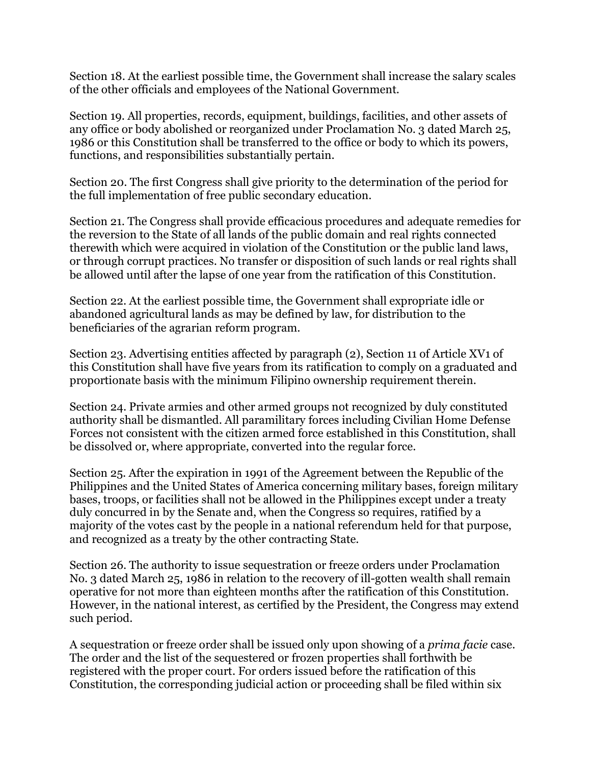Section 18. At the earliest possible time, the Government shall increase the salary scales of the other officials and employees of the National Government.

Section 19. All properties, records, equipment, buildings, facilities, and other assets of any office or body abolished or reorganized under Proclamation No. 3 dated March 25, 1986 or this Constitution shall be transferred to the office or body to which its powers, functions, and responsibilities substantially pertain.

Section 20. The first Congress shall give priority to the determination of the period for the full implementation of free public secondary education.

Section 21. The Congress shall provide efficacious procedures and adequate remedies for the reversion to the State of all lands of the public domain and real rights connected therewith which were acquired in violation of the Constitution or the public land laws, or through corrupt practices. No transfer or disposition of such lands or real rights shall be allowed until after the lapse of one year from the ratification of this Constitution.

Section 22. At the earliest possible time, the Government shall expropriate idle or abandoned agricultural lands as may be defined by law, for distribution to the beneficiaries of the agrarian reform program.

Section 23. Advertising entities affected by paragraph (2), Section 11 of Article XV1 of this Constitution shall have five years from its ratification to comply on a graduated and proportionate basis with the minimum Filipino ownership requirement therein.

Section 24. Private armies and other armed groups not recognized by duly constituted authority shall be dismantled. All paramilitary forces including Civilian Home Defense Forces not consistent with the citizen armed force established in this Constitution, shall be dissolved or, where appropriate, converted into the regular force.

Section 25. After the expiration in 1991 of the Agreement between the Republic of the Philippines and the United States of America concerning military bases, foreign military bases, troops, or facilities shall not be allowed in the Philippines except under a treaty duly concurred in by the Senate and, when the Congress so requires, ratified by a majority of the votes cast by the people in a national referendum held for that purpose, and recognized as a treaty by the other contracting State.

Section 26. The authority to issue sequestration or freeze orders under Proclamation No. 3 dated March 25, 1986 in relation to the recovery of ill-gotten wealth shall remain operative for not more than eighteen months after the ratification of this Constitution. However, in the national interest, as certified by the President, the Congress may extend such period.

A sequestration or freeze order shall be issued only upon showing of a *prima facie* case. The order and the list of the sequestered or frozen properties shall forthwith be registered with the proper court. For orders issued before the ratification of this Constitution, the corresponding judicial action or proceeding shall be filed within six